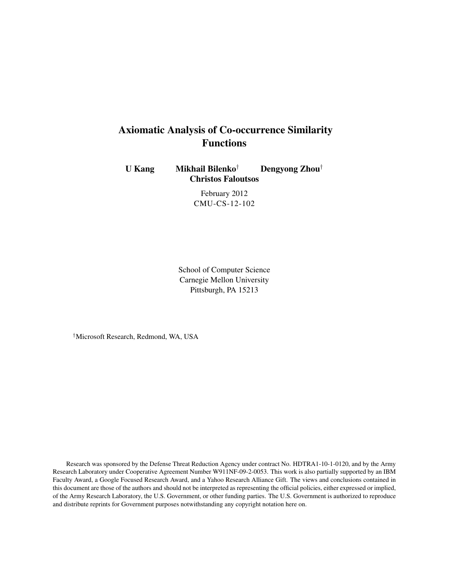# Axiomatic Analysis of Co-occurrence Similarity Functions

U Kang Mikhail Bilenko† Dengyong Zhou† Christos Faloutsos

> February 2012 CMU-CS-12-102

School of Computer Science Carnegie Mellon University Pittsburgh, PA 15213

†Microsoft Research, Redmond, WA, USA

Research was sponsored by the Defense Threat Reduction Agency under contract No. HDTRA1-10-1-0120, and by the Army Research Laboratory under Cooperative Agreement Number W911NF-09-2-0053. This work is also partially supported by an IBM Faculty Award, a Google Focused Research Award, and a Yahoo Research Alliance Gift. The views and conclusions contained in this document are those of the authors and should not be interpreted as representing the official policies, either expressed or implied, of the Army Research Laboratory, the U.S. Government, or other funding parties. The U.S. Government is authorized to reproduce and distribute reprints for Government purposes notwithstanding any copyright notation here on.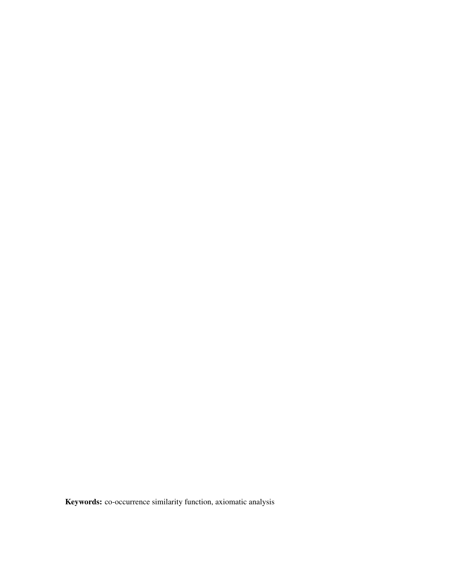Keywords: co-occurrence similarity function, axiomatic analysis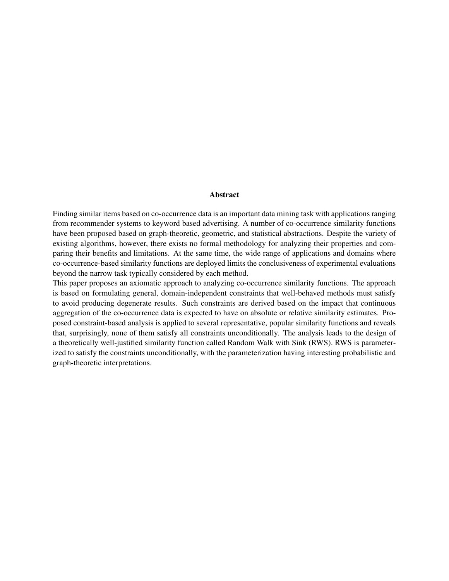#### Abstract

Finding similar items based on co-occurrence data is an important data mining task with applications ranging from recommender systems to keyword based advertising. A number of co-occurrence similarity functions have been proposed based on graph-theoretic, geometric, and statistical abstractions. Despite the variety of existing algorithms, however, there exists no formal methodology for analyzing their properties and comparing their benefits and limitations. At the same time, the wide range of applications and domains where co-occurrence-based similarity functions are deployed limits the conclusiveness of experimental evaluations beyond the narrow task typically considered by each method.

This paper proposes an axiomatic approach to analyzing co-occurrence similarity functions. The approach is based on formulating general, domain-independent constraints that well-behaved methods must satisfy to avoid producing degenerate results. Such constraints are derived based on the impact that continuous aggregation of the co-occurrence data is expected to have on absolute or relative similarity estimates. Proposed constraint-based analysis is applied to several representative, popular similarity functions and reveals that, surprisingly, none of them satisfy all constraints unconditionally. The analysis leads to the design of a theoretically well-justified similarity function called Random Walk with Sink (RWS). RWS is parameterized to satisfy the constraints unconditionally, with the parameterization having interesting probabilistic and graph-theoretic interpretations.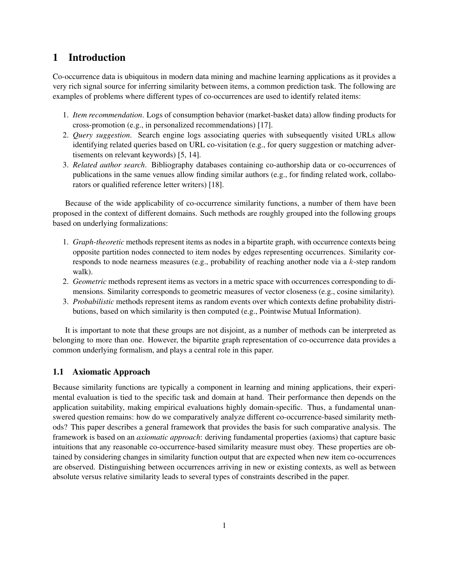## 1 Introduction

Co-occurrence data is ubiquitous in modern data mining and machine learning applications as it provides a very rich signal source for inferring similarity between items, a common prediction task. The following are examples of problems where different types of co-occurrences are used to identify related items:

- 1. *Item recommendation*. Logs of consumption behavior (market-basket data) allow finding products for cross-promotion (e.g., in personalized recommendations) [17].
- 2. *Query suggestion*. Search engine logs associating queries with subsequently visited URLs allow identifying related queries based on URL co-visitation (e.g., for query suggestion or matching advertisements on relevant keywords) [5, 14].
- 3. *Related author search*. Bibliography databases containing co-authorship data or co-occurrences of publications in the same venues allow finding similar authors (e.g., for finding related work, collaborators or qualified reference letter writers) [18].

Because of the wide applicability of co-occurrence similarity functions, a number of them have been proposed in the context of different domains. Such methods are roughly grouped into the following groups based on underlying formalizations:

- 1. *Graph-theoretic* methods represent items as nodes in a bipartite graph, with occurrence contexts being opposite partition nodes connected to item nodes by edges representing occurrences. Similarity corresponds to node nearness measures (e.g., probability of reaching another node via a k-step random walk).
- 2. *Geometric* methods represent items as vectors in a metric space with occurrences corresponding to dimensions. Similarity corresponds to geometric measures of vector closeness (e.g., cosine similarity).
- 3. *Probabilistic* methods represent items as random events over which contexts define probability distributions, based on which similarity is then computed (e.g., Pointwise Mutual Information).

It is important to note that these groups are not disjoint, as a number of methods can be interpreted as belonging to more than one. However, the bipartite graph representation of co-occurrence data provides a common underlying formalism, and plays a central role in this paper.

### 1.1 Axiomatic Approach

Because similarity functions are typically a component in learning and mining applications, their experimental evaluation is tied to the specific task and domain at hand. Their performance then depends on the application suitability, making empirical evaluations highly domain-specific. Thus, a fundamental unanswered question remains: how do we comparatively analyze different co-occurrence-based similarity methods? This paper describes a general framework that provides the basis for such comparative analysis. The framework is based on an *axiomatic approach*: deriving fundamental properties (axioms) that capture basic intuitions that any reasonable co-occurrence-based similarity measure must obey. These properties are obtained by considering changes in similarity function output that are expected when new item co-occurrences are observed. Distinguishing between occurrences arriving in new or existing contexts, as well as between absolute versus relative similarity leads to several types of constraints described in the paper.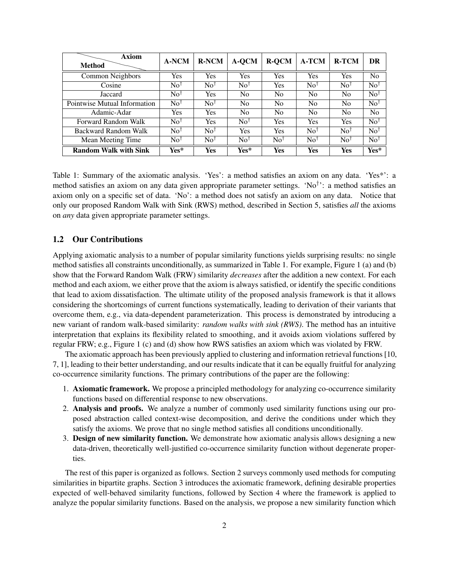| <b>Axiom</b><br><b>Method</b> | <b>A-NCM</b>            | <b>R-NCM</b>          | A-QCM                 | <b>R-QCM</b>            | <b>A-TCM</b>          | <b>R-TCM</b>            | DR                      |
|-------------------------------|-------------------------|-----------------------|-----------------------|-------------------------|-----------------------|-------------------------|-------------------------|
| Common Neighbors              | <b>Yes</b>              | <b>Yes</b>            | Yes                   | <b>Yes</b>              | Yes                   | Yes                     | N <sub>o</sub>          |
| Cosine                        | $\mathrm{No}^\dagger$   | $\mathrm{No}^\dagger$ | $\mathrm{No}^\dagger$ | Yes                     | $\mathrm{No}^\dagger$ | $\mathrm{No}^\dagger$   | $\mathrm{No}^\dagger$   |
| Jaccard                       | $\mathrm{No}^{\dagger}$ | <b>Yes</b>            | No                    | No                      | No                    | N <sub>0</sub>          | $\mathrm{No}^\dagger$   |
| Pointwise Mutual Information  | $\mathrm{No}^\dagger$   | $\mathrm{No}^\dagger$ | No                    | No                      | N <sub>0</sub>        | N <sub>0</sub>          | $\mathrm{No}^\dagger$   |
| Adamic-Adar                   | <b>Yes</b>              | <b>Yes</b>            | No                    | No                      | N <sub>0</sub>        | N <sub>0</sub>          | N <sub>o</sub>          |
| Forward Random Walk           | $\mathrm{No}^\dagger$   | Yes                   | $\mathrm{No}^\dagger$ | Yes                     | <b>Yes</b>            | Yes                     | $\mathrm{No}^\dagger$   |
| Backward Random Walk          | $\mathrm{No}^\dagger$   | $\mathrm{No}^\dagger$ | <b>Yes</b>            | Yes                     | $\mathrm{No}^\dagger$ | $\mathrm{No}^\dagger$   | $\mathrm{No}^\dagger$   |
| Mean Meeting Time             | $\mathrm{No}^\dagger$   | $\mathrm{No}^\dagger$ | $\mathrm{No}^\dagger$ | $\mathrm{No}^{\dagger}$ | $\mathrm{No}^\dagger$ | $\mathrm{No}^{\dagger}$ | $\mathrm{No}^{\dagger}$ |
| <b>Random Walk with Sink</b>  | Yes*                    | Yes                   | Yes*                  | Yes                     | Yes                   | Yes                     | Yes*                    |

Table 1: Summary of the axiomatic analysis. 'Yes': a method satisfies an axiom on any data. 'Yes\*': a method satisfies an axiom on any data given appropriate parameter settings. 'No<sup>†</sup>': a method satisfies an axiom only on a specific set of data. 'No': a method does not satisfy an axiom on any data. Notice that only our proposed Random Walk with Sink (RWS) method, described in Section 5, satisfies *all* the axioms on *any* data given appropriate parameter settings.

### 1.2 Our Contributions

Applying axiomatic analysis to a number of popular similarity functions yields surprising results: no single method satisfies all constraints unconditionally, as summarized in Table 1. For example, Figure 1 (a) and (b) show that the Forward Random Walk (FRW) similarity *decreases* after the addition a new context. For each method and each axiom, we either prove that the axiom is always satisfied, or identify the specific conditions that lead to axiom dissatisfaction. The ultimate utility of the proposed analysis framework is that it allows considering the shortcomings of current functions systematically, leading to derivation of their variants that overcome them, e.g., via data-dependent parameterization. This process is demonstrated by introducing a new variant of random walk-based similarity: *random walks with sink (RWS)*. The method has an intuitive interpretation that explains its flexibility related to smoothing, and it avoids axiom violations suffered by regular FRW; e.g., Figure 1 (c) and (d) show how RWS satisfies an axiom which was violated by FRW.

The axiomatic approach has been previously applied to clustering and information retrieval functions [10, 7, 1], leading to their better understanding, and our results indicate that it can be equally fruitful for analyzing co-occurrence similarity functions. The primary contributions of the paper are the following:

- 1. Axiomatic framework. We propose a principled methodology for analyzing co-occurrence similarity functions based on differential response to new observations.
- 2. Analysis and proofs. We analyze a number of commonly used similarity functions using our proposed abstraction called context-wise decomposition, and derive the conditions under which they satisfy the axioms. We prove that no single method satisfies all conditions unconditionally.
- 3. Design of new similarity function. We demonstrate how axiomatic analysis allows designing a new data-driven, theoretically well-justified co-occurrence similarity function without degenerate properties.

The rest of this paper is organized as follows. Section 2 surveys commonly used methods for computing similarities in bipartite graphs. Section 3 introduces the axiomatic framework, defining desirable properties expected of well-behaved similarity functions, followed by Section 4 where the framework is applied to analyze the popular similarity functions. Based on the analysis, we propose a new similarity function which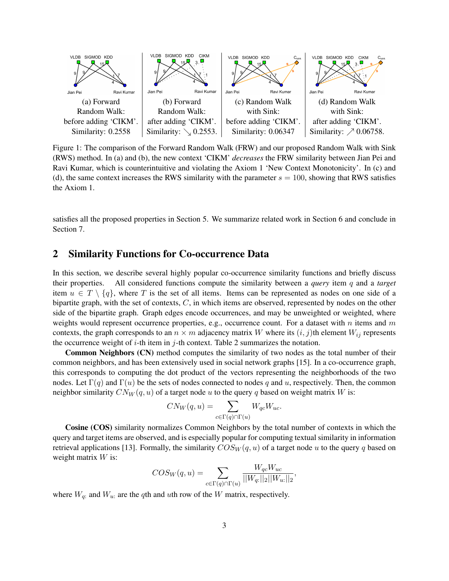

Figure 1: The comparison of the Forward Random Walk (FRW) and our proposed Random Walk with Sink (RWS) method. In (a) and (b), the new context 'CIKM' *decreases* the FRW similarity between Jian Pei and Ravi Kumar, which is counterintuitive and violating the Axiom 1 'New Context Monotonicity'. In (c) and (d), the same context increases the RWS similarity with the parameter  $s = 100$ , showing that RWS satisfies the Axiom 1.

satisfies all the proposed properties in Section 5. We summarize related work in Section 6 and conclude in Section 7.

## 2 Similarity Functions for Co-occurrence Data

In this section, we describe several highly popular co-occurrence similarity functions and briefly discuss their properties. All considered functions compute the similarity between a *query* item q and a *target* item  $u \in T \setminus \{q\}$ , where T is the set of all items. Items can be represented as nodes on one side of a bipartite graph, with the set of contexts,  $C$ , in which items are observed, represented by nodes on the other side of the bipartite graph. Graph edges encode occurrences, and may be unweighted or weighted, where weights would represent occurrence properties, e.g., occurrence count. For a dataset with n items and  $m$ contexts, the graph corresponds to an  $n \times m$  adjacency matrix W where its  $(i, j)$ th element  $W_{ij}$  represents the occurrence weight of  $i$ -th item in  $j$ -th context. Table 2 summarizes the notation.

Common Neighbors (CN) method computes the similarity of two nodes as the total number of their common neighbors, and has been extensively used in social network graphs [15]. In a co-occurrence graph, this corresponds to computing the dot product of the vectors representing the neighborhoods of the two nodes. Let  $\Gamma(q)$  and  $\Gamma(u)$  be the sets of nodes connected to nodes q and u, respectively. Then, the common neighbor similarity  $CN_W(q, u)$  of a target node u to the query q based on weight matrix W is:

$$
CN_W(q, u) = \sum_{c \in \Gamma(q) \cap \Gamma(u)} W_{qc} W_{uc}.
$$

Cosine (COS) similarity normalizes Common Neighbors by the total number of contexts in which the query and target items are observed, and is especially popular for computing textual similarity in information retrieval applications [13]. Formally, the similarity  $COS_W(q, u)$  of a target node u to the query q based on weight matrix  $W$  is:

$$
COS_W(q, u) = \sum_{c \in \Gamma(q) \cap \Gamma(u)} \frac{W_{qc} W_{uc}}{||W_{q:}||_2||W_{u:}||_2},
$$

where  $W_{q}$ : and  $W_{u}$ : are the qth and uth row of the W matrix, respectively.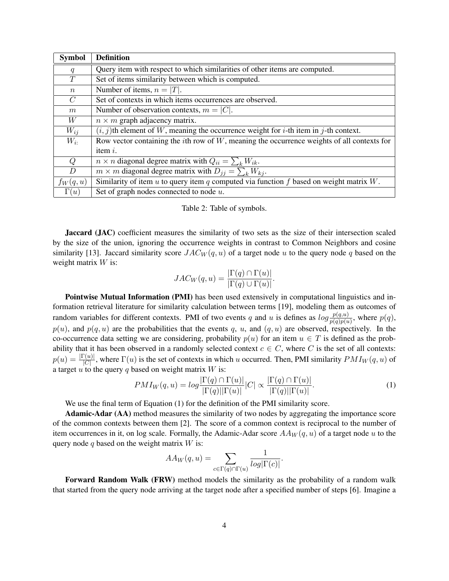| <b>Symbol</b>   | <b>Definition</b>                                                                                      |
|-----------------|--------------------------------------------------------------------------------------------------------|
| q               | Query item with respect to which similarities of other items are computed.                             |
| T               | Set of items similarity between which is computed.                                                     |
| $\,n$           | Number of items, $n =  T $ .                                                                           |
| $\mathcal{C}$   | Set of contexts in which items occurrences are observed.                                               |
| $m_{\parallel}$ | Number of observation contexts, $m =  C $ .                                                            |
| W               | $n \times m$ graph adjacency matrix.                                                                   |
| $W_{ij}$        | $(i, j)$ th element of W, meaning the occurrence weight for <i>i</i> -th item in <i>j</i> -th context. |
| $W_{i}$         | Row vector containing the $i$ th row of $W$ , meaning the occurrence weights of all contexts for       |
|                 | item <i>i</i> .                                                                                        |
| Q               | $n \times n$ diagonal degree matrix with $Q_{ii} = \sum_k W_{ik}$ .                                    |
| D               | $m \times m$ diagonal degree matrix with $D_{ij} = \sum_k W_{kj}$ .                                    |
| $f_W(q, u)$     | Similarity of item $u$ to query item $q$ computed via function $f$ based on weight matrix $W$ .        |
| $\Gamma(u)$     | Set of graph nodes connected to node $u$ .                                                             |

#### Table 2: Table of symbols.

Jaccard (JAC) coefficient measures the similarity of two sets as the size of their intersection scaled by the size of the union, ignoring the occurrence weights in contrast to Common Neighbors and cosine similarity [13]. Jaccard similarity score  $JAC_W(q, u)$  of a target node u to the query node q based on the weight matrix  $W$  is:

$$
JAC_W(q, u) = \frac{|\Gamma(q) \cap \Gamma(u)|}{|\Gamma(q) \cup \Gamma(u)|}.
$$

Pointwise Mutual Information (PMI) has been used extensively in computational linguistics and information retrieval literature for similarity calculation between terms [19], modeling them as outcomes of random variables for different contexts. PMI of two events q and u is defines as  $log \frac{p(q,u)}{p(q)p(u)}$ , where  $p(q)$ ,  $p(u)$ , and  $p(q, u)$  are the probabilities that the events q, u, and  $(q, u)$  are observed, respectively. In the co-occurrence data setting we are considering, probability  $p(u)$  for an item  $u \in T$  is defined as the probability that it has been observed in a randomly selected context  $c \in C$ , where C is the set of all contexts:  $p(u) = \frac{|\Gamma(u)|}{|C|}$ , where  $\Gamma(u)$  is the set of contexts in which u occurred. Then, PMI similarity  $PMI_W(q, u)$  of a target  $u$  to the query q based on weight matrix  $W$  is:

$$
PMI_W(q, u) = \log \frac{|\Gamma(q) \cap \Gamma(u)|}{|\Gamma(q)| |\Gamma(u)|} |C| \propto \frac{|\Gamma(q) \cap \Gamma(u)|}{|\Gamma(q)| |\Gamma(u)|}. \tag{1}
$$

We use the final term of Equation (1) for the definition of the PMI similarity score.

Adamic-Adar (AA) method measures the similarity of two nodes by aggregating the importance score of the common contexts between them [2]. The score of a common context is reciprocal to the number of item occurrences in it, on log scale. Formally, the Adamic-Adar score  $AA_W(q, u)$  of a target node u to the query node  $q$  based on the weight matrix  $W$  is:

$$
AA_W(q,u)=\sum_{c\in \Gamma(q)\cap \Gamma(u)}\frac{1}{log|\Gamma(c)|}.
$$

Forward Random Walk (FRW) method models the similarity as the probability of a random walk that started from the query node arriving at the target node after a specified number of steps [6]. Imagine a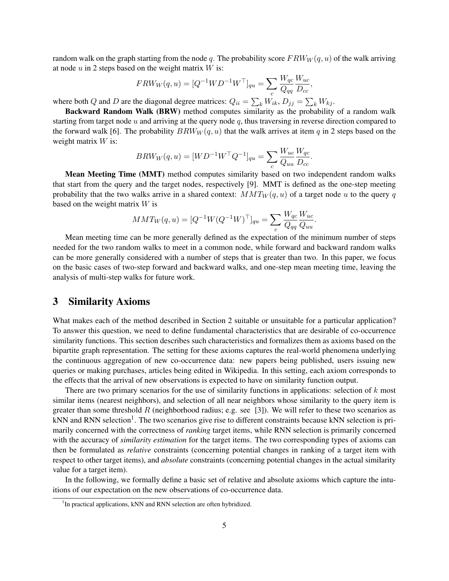random walk on the graph starting from the node q. The probability score  $FRW_W(q, u)$  of the walk arriving at node  $u$  in 2 steps based on the weight matrix  $W$  is:

$$
FRW_W(q, u) = [Q^{-1}WD^{-1}W^\top]_{qu} = \sum_c \frac{W_{qc}}{Q_{qq}} \frac{W_{uc}}{D_{cc}},
$$

where both Q and D are the diagonal degree matrices:  $Q_{ii} = \sum_k W_{ik}, D_{jj} = \sum_k W_{kj}$ .

Backward Random Walk (BRW) method computes similarity as the probability of a random walk starting from target node  $u$  and arriving at the query node  $q$ , thus traversing in reverse direction compared to the forward walk [6]. The probability  $BRW_W(q, u)$  that the walk arrives at item q in 2 steps based on the weight matrix  $W$  is:

$$
BRW_W(q, u) = [WD^{-1}W^{T}Q^{-1}]_{qu} = \sum_{c} \frac{W_{uc}}{Q_{uu}} \frac{W_{qc}}{D_{cc}}.
$$

Mean Meeting Time (MMT) method computes similarity based on two independent random walks that start from the query and the target nodes, respectively [9]. MMT is defined as the one-step meeting probability that the two walks arrive in a shared context:  $MMT_W(q, u)$  of a target node u to the query q based on the weight matrix  $W$  is

$$
MMT_W(q, u) = [Q^{-1}W(Q^{-1}W)^{\top}]_{qu} = \sum_c \frac{W_{qc}}{Q_{qq}} \frac{W_{uc}}{Q_{uu}}.
$$

Mean meeting time can be more generally defined as the expectation of the minimum number of steps needed for the two random walks to meet in a common node, while forward and backward random walks can be more generally considered with a number of steps that is greater than two. In this paper, we focus on the basic cases of two-step forward and backward walks, and one-step mean meeting time, leaving the analysis of multi-step walks for future work.

### 3 Similarity Axioms

What makes each of the method described in Section 2 suitable or unsuitable for a particular application? To answer this question, we need to define fundamental characteristics that are desirable of co-occurrence similarity functions. This section describes such characteristics and formalizes them as axioms based on the bipartite graph representation. The setting for these axioms captures the real-world phenomena underlying the continuous aggregation of new co-occurrence data: new papers being published, users issuing new queries or making purchases, articles being edited in Wikipedia. In this setting, each axiom corresponds to the effects that the arrival of new observations is expected to have on similarity function output.

There are two primary scenarios for the use of similarity functions in applications: selection of  $k$  most similar items (nearest neighbors), and selection of all near neighbors whose similarity to the query item is greater than some threshold R (neighborhood radius; e.g. see [3]). We will refer to these two scenarios as kNN and RNN selection<sup>1</sup>. The two scenarios give rise to different constraints because kNN selection is primarily concerned with the correctness of *ranking* target items, while RNN selection is primarily concerned with the accuracy of *similarity estimation* for the target items. The two corresponding types of axioms can then be formulated as *relative* constraints (concerning potential changes in ranking of a target item with respect to other target items), and *absolute* constraints (concerning potential changes in the actual similarity value for a target item).

In the following, we formally define a basic set of relative and absolute axioms which capture the intuitions of our expectation on the new observations of co-occurrence data.

<sup>&</sup>lt;sup>1</sup>In practical applications, kNN and RNN selection are often hybridized.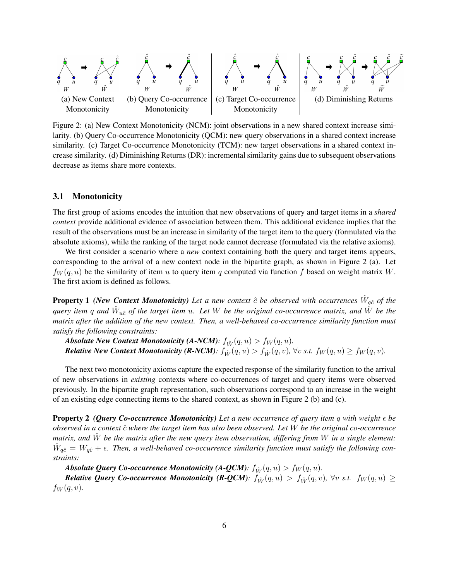

Figure 2: (a) New Context Monotonicity (NCM): joint observations in a new shared context increase similarity. (b) Query Co-occurrence Monotonicity (QCM): new query observations in a shared context increase similarity. (c) Target Co-occurrence Monotonicity (TCM): new target observations in a shared context increase similarity. (d) Diminishing Returns (DR): incremental similarity gains due to subsequent observations decrease as items share more contexts.

#### 3.1 Monotonicity

The first group of axioms encodes the intuition that new observations of query and target items in a *shared context* provide additional evidence of association between them. This additional evidence implies that the result of the observations must be an increase in similarity of the target item to the query (formulated via the absolute axioms), while the ranking of the target node cannot decrease (formulated via the relative axioms).

We first consider a scenario where a *new* context containing both the query and target items appears, corresponding to the arrival of a new context node in the bipartite graph, as shown in Figure 2 (a). Let  $f_W(q, u)$  be the similarity of item u to query item q computed via function f based on weight matrix W. The first axiom is defined as follows.

**Property 1** (New Context Monotonicity) Let a new context  $\hat{c}$  be observed with occurrences  $\hat{W}_{q\hat{c}}$  of the query item q and  $\hat{W}_{u\hat{c}}$  of the target item  $u$ . Let  $W$  be the original co-occurrence matrix, and  $\hat{W}$  be the *matrix after the addition of the new context. Then, a well-behaved co-occurrence similarity function must satisfy the following constraints:*

*Absolute New Context Monotonicity (A-NCM):*  $f_{\hat{W}}(q, u) > f_{W}(q, u)$ *. Relative New Context Monotonicity (R-NCM):*  $f_{\hat{W}}(q, u) > f_{\hat{W}}(q, v)$ ,  $\forall v$  s.t.  $f_W(q, u) \ge f_W(q, v)$ .

The next two monotonicity axioms capture the expected response of the similarity function to the arrival of new observations in *existing* contexts where co-occurrences of target and query items were observed previously. In the bipartite graph representation, such observations correspond to an increase in the weight of an existing edge connecting items to the shared context, as shown in Figure 2 (b) and (c).

**Property 2** *(Query Co-occurrence Monotonicity)* **Let a new occurrence of query item q with weight**  $\epsilon$  **be** *observed in a context*  $\hat{c}$  *where the target item has also been observed. Let* W *be the original co-occurrence matrix, and* Wˆ *be the matrix after the new query item observation, differing from* W *in a single element:*  $\hat{W}_{q\hat{c}} = W_{q\hat{c}} + \epsilon$ . Then, a well-behaved co-occurrence similarity function must satisfy the following con*straints:*

*Absolute Query Co-occurrence Monotonicity (A-QCM):*  $f_{\hat{W}}(q, u) > f_{W}(q, u)$ .

*Relative Query Co-occurrence Monotonicity (R-QCM):*  $f_{\hat{W}}(q, u) > f_{\hat{W}}(q, v)$ ,  $\forall v$  *s.t.*  $f_W(q, u) \geq$  $f_W(q,v)$ .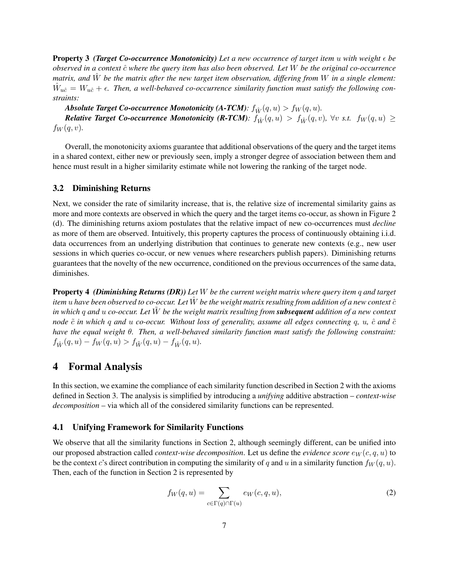**Property 3** *(Target Co-occurrence Monotonicity) Let a new occurrence of target item u with weight*  $\epsilon$  *be observed in a context*  $\hat{c}$  *where the query item has also been observed. Let* W *be the original co-occurrence matrix, and* Wˆ *be the matrix after the new target item observation, differing from* W *in a single element:*  $\hat{W}_{u\hat{c}} = W_{u\hat{c}} + \epsilon$ . Then, a well-behaved co-occurrence similarity function must satisfy the following con*straints:*

*Absolute Target Co-occurrence Monotonicity (A-TCM):*  $f_{\hat{W}}(q, u) > f_{W}(q, u)$ *. Relative Target Co-occurrence Monotonicity (R-TCM):*  $f_W^*(q, u) > f_W^*(q, v)$ ,  $\forall v$  *s.t.*  $f_W(q, u) \geq$  $f_W(q, v)$ .

Overall, the monotonicity axioms guarantee that additional observations of the query and the target items in a shared context, either new or previously seen, imply a stronger degree of association between them and hence must result in a higher similarity estimate while not lowering the ranking of the target node.

#### 3.2 Diminishing Returns

Next, we consider the rate of similarity increase, that is, the relative size of incremental similarity gains as more and more contexts are observed in which the query and the target items co-occur, as shown in Figure 2 (d). The diminishing returns axiom postulates that the relative impact of new co-occurrences must *decline* as more of them are observed. Intuitively, this property captures the process of continuously obtaining i.i.d. data occurrences from an underlying distribution that continues to generate new contexts (e.g., new user sessions in which queries co-occur, or new venues where researchers publish papers). Diminishing returns guarantees that the novelty of the new occurrence, conditioned on the previous occurrences of the same data, diminishes.

Property 4 *(Diminishing Returns (DR)) Let* W *be the current weight matrix where query item* q *and target item* u have been observed to co-occur. Let  $\hat{W}$  be the weight matrix resulting from addition of a new context  $\hat{c}$ *in which* q *and* u *co-occur. Let* W˜ *be the weight matrix resulting from subsequent addition of a new context node*  $\tilde{c}$  *in which* q and u co-occur. Without loss of generality, assume all edges connecting q, u,  $\hat{c}$  and  $\tilde{c}$ *have the equal weight* θ*. Then, a well-behaved similarity function must satisfy the following constraint:*  $f_{\hat{W}}(q, u) - f_{W}(q, u) > f_{\tilde{W}}(q, u) - f_{\hat{W}}(q, u).$ 

### 4 Formal Analysis

In this section, we examine the compliance of each similarity function described in Section 2 with the axioms defined in Section 3. The analysis is simplified by introducing a *unifying* additive abstraction – *context-wise decomposition* – via which all of the considered similarity functions can be represented.

#### 4.1 Unifying Framework for Similarity Functions

We observe that all the similarity functions in Section 2, although seemingly different, can be unified into our proposed abstraction called *context-wise decomposition*. Let us define the *evidence score*  $e_W(c, q, u)$  to be the context c's direct contribution in computing the similarity of q and u in a similarity function  $f_W(q, u)$ . Then, each of the function in Section 2 is represented by

$$
f_W(q, u) = \sum_{c \in \Gamma(q) \cap \Gamma(u)} e_W(c, q, u), \tag{2}
$$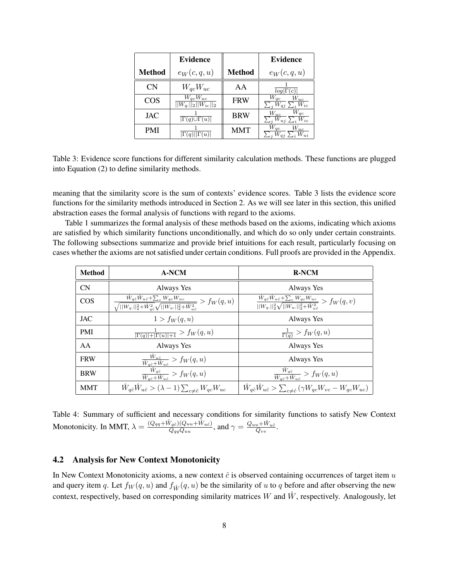|               | <b>Evidence</b>                                         |               | <b>Evidence</b>                                                                       |
|---------------|---------------------------------------------------------|---------------|---------------------------------------------------------------------------------------|
| <b>Method</b> | $e_W(c,q,u)$                                            | <b>Method</b> | $e_W(c,q,u)$                                                                          |
| CN            | $W_{qc}W_{uc}$                                          | AA            | $log \Gamma(c) $                                                                      |
| <b>COS</b>    | $\overline{W_{qc}W_{uc}}$<br>$  W_{q:}  _2  W_{u:}  _2$ | <b>FRW</b>    | $\frac{W_{qc}}{\sum_i W_{qj}} \frac{W_{uc}}{\sum_i W_{ic}}$                           |
| <b>JAC</b>    | $\Gamma(q) \cup \Gamma(u)$                              | <b>BRW</b>    | $W_{qc}$<br>$W_{\underline{uc}}$<br>$\overline{W_{uj}} \sum_i$<br>$\overline{W_{ic}}$ |
| <b>PMI</b>    |                                                         | <b>MMT</b>    | $\bar{W}_{qc}$<br>$W_{uc}$                                                            |

Table 3: Evidence score functions for different similarity calculation methods. These functions are plugged into Equation (2) to define similarity methods.

meaning that the similarity score is the sum of contexts' evidence scores. Table 3 lists the evidence score functions for the similarity methods introduced in Section 2. As we will see later in this section, this unified abstraction eases the formal analysis of functions with regard to the axioms.

Table 1 summarizes the formal analysis of these methods based on the axioms, indicating which axioms are satisfied by which similarity functions unconditionally, and which do so only under certain constraints. The following subsections summarize and provide brief intuitions for each result, particularly focusing on cases whether the axioms are not satisfied under certain conditions. Full proofs are provided in the Appendix.

| <b>Method</b> | <b>A-NCM</b>                                                                                                                                                       | <b>R-NCM</b>                                                                                                                                  |
|---------------|--------------------------------------------------------------------------------------------------------------------------------------------------------------------|-----------------------------------------------------------------------------------------------------------------------------------------------|
| CN            | Always Yes                                                                                                                                                         | Always Yes                                                                                                                                    |
| <b>COS</b>    | $\frac{\hat{W}_{q\hat{c}}\hat{W}_{u\hat{c}}+\sum_c W_{qc}W_{uc}}{\sqrt{  W_{q:}  _2^2+\hat{W}_{q\hat{c}}^2}\sqrt{  W_{u:}  _2^2+\hat{W}_{u\hat{c}}^2}} > f_W(q,u)$ | $\frac{\hat{W}_{q\hat{c}}\hat{W}_{u\hat{c}} + \sum_{c}W_{qc}W_{uc}}{  W_{q:}  _2^2 \sqrt{  W_{u:}  _2^2 + \hat{W}_{u\hat{c}}^2}} > f_W(q, v)$ |
| <b>JAC</b>    | $1 > f_W(q, u)$                                                                                                                                                    | Always Yes                                                                                                                                    |
| <b>PMI</b>    | $\frac{1}{ \Gamma(q) + \Gamma(u) +1} > f_W(q,u)$                                                                                                                   | $\frac{1}{\Gamma(q)}$ > $f_W(q, u)$                                                                                                           |
| AA            | Always Yes                                                                                                                                                         | Always Yes                                                                                                                                    |
| <b>FRW</b>    | $\frac{W_{u\hat{c}}}{\hat{W}_{q\hat{c}} + \hat{W}_{u\hat{c}}} > f_W(q, u)$                                                                                         | Always Yes                                                                                                                                    |
| <b>BRW</b>    | $\frac{\hat{W}_{q\hat{c}}}{\hat{W}_{q\hat{c}} + \hat{W}_{u\hat{c}}} > f_W(q, u)$                                                                                   | $\frac{W_{q\hat{c}}}{\hat{W}_{a\hat{c}} + \hat{W}_{u\hat{c}}} > f_W(q, u)$                                                                    |
| <b>MMT</b>    | $\hat{W}_{q\hat{c}}\hat{W}_{u\hat{c}} > (\lambda - 1) \sum_{c \neq \hat{c}} W_{qc}W_{uc}$                                                                          | $\hat{W}_{q\hat{c}}\hat{W}_{u\hat{c}}>\sum_{c\neq\hat{c}}\left(\gamma W_{qc}W_{vc}-W_{qc}W_{uc}\right)$                                       |

Table 4: Summary of sufficient and necessary conditions for similarity functions to satisfy New Context Monotonicity. In MMT,  $\lambda = \frac{(Q_{qq} + \hat{W}_{q\hat{c}})(Q_{uu} + \hat{W}_{u\hat{c}})}{Q_{qq}Q_{uu}}$  $\frac{\hat{W}_{q\hat{c}})(Quu+\hat{W}_{u\hat{c}})}{Q_{qq}Q_{uu}},$  and  $\gamma=\frac{Q_{uu}+\hat{W}_{u\hat{c}}}{Q_{vv}}.$ 

### 4.2 Analysis for New Context Monotonicity

In New Context Monotonicity axioms, a new context  $\hat{c}$  is observed containing occurrences of target item  $u$ and query item q. Let  $f_W(q, u)$  and  $f_{\hat{W}}(q, u)$  be the similarity of u to q before and after observing the new context, respectively, based on corresponding similarity matrices W and  $\hat{W}$ , respectively. Analogously, let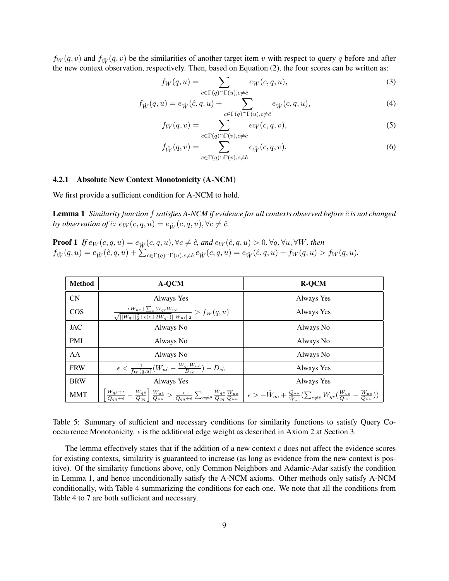$f_W(q, v)$  and  $f_{\hat{W}}(q, v)$  be the similarities of another target item v with respect to query q before and after the new context observation, respectively. Then, based on Equation (2), the four scores can be written as:

$$
f_W(q, u) = \sum_{c \in \Gamma(q) \cap \Gamma(u), c \neq \hat{c}} e_W(c, q, u), \tag{3}
$$

$$
f_{\hat{W}}(q,u) = e_{\hat{W}}(\hat{c},q,u) + \sum_{c \in \Gamma(q) \cap \Gamma(u), c \neq \hat{c}} e_{\hat{W}}(c,q,u), \tag{4}
$$

$$
f_W(q,v) = \sum_{c \in \Gamma(q) \cap \Gamma(v), c \neq \hat{c}} e_W(c, q, v), \tag{5}
$$

$$
f_{\hat{W}}(q,v) = \sum_{c \in \Gamma(q) \cap \Gamma(v), c \neq \hat{c}} e_{\hat{W}}(c,q,v).
$$
 (6)

#### 4.2.1 Absolute New Context Monotonicity (A-NCM)

We first provide a sufficient condition for A-NCM to hold.

Lemma 1 *Similarity function f satisfies A-NCM if evidence for all contexts observed before*  $\hat{c}$  *is not changed by observation of*  $\hat{c}$ *:*  $e_W(c, q, u) = e_{\hat{W}}(c, q, u), \forall c \neq \hat{c}$ *.* 

**Proof 1** If  $e_W(c, q, u) = e_{\hat{W}}(c, q, u), \forall c \neq \hat{c}$ , and  $e_W(\hat{c}, q, u) > 0, \forall q, \forall u, \forall W$ , then  $f_{\hat{W}}(q, u) = e_{\hat{W}}(\hat{c}, q, u) + \sum_{c \in \Gamma(q) \cap \Gamma(u), c \neq \hat{c}} e_{\hat{W}}(c, q, u) = e_{\hat{W}}(\hat{c}, q, u) + f_{W}(q, u) > f_{W}(q, u).$ 

| <b>Method</b> | A-QCM                                                                                                                                    | <b>R-QCM</b>                                                                                                                                                                                                                                                                                                                                                                                                                                                  |
|---------------|------------------------------------------------------------------------------------------------------------------------------------------|---------------------------------------------------------------------------------------------------------------------------------------------------------------------------------------------------------------------------------------------------------------------------------------------------------------------------------------------------------------------------------------------------------------------------------------------------------------|
| <b>CN</b>     | Always Yes                                                                                                                               | Always Yes                                                                                                                                                                                                                                                                                                                                                                                                                                                    |
| <b>COS</b>    | $\frac{\epsilon W_{u\hat{c}} + \sum_c W_{qc}W_{uc}}{\sqrt{  W_{q:}  _2^2 + \epsilon(\epsilon + 2W_{q\hat{c}})  W_{u:}  _2}} > f_W(q, u)$ | Always Yes                                                                                                                                                                                                                                                                                                                                                                                                                                                    |
| <b>JAC</b>    | Always No                                                                                                                                | Always No                                                                                                                                                                                                                                                                                                                                                                                                                                                     |
| <b>PMI</b>    | Always No                                                                                                                                | Always No                                                                                                                                                                                                                                                                                                                                                                                                                                                     |
| AA            | Always No                                                                                                                                | Always No                                                                                                                                                                                                                                                                                                                                                                                                                                                     |
| <b>FRW</b>    | $\epsilon < \frac{1}{f_W(q, u)}(W_{u\hat{c}} - \frac{W_{q\hat{c}}W_{u\hat{c}}}{D_{\hat{c}\hat{c}}}) - D_{\hat{c}\hat{c}}$                | Always Yes                                                                                                                                                                                                                                                                                                                                                                                                                                                    |
| <b>BRW</b>    | Always Yes                                                                                                                               | Always Yes                                                                                                                                                                                                                                                                                                                                                                                                                                                    |
| <b>MMT</b>    |                                                                                                                                          | $\begin{array}{c c c} \hline W_{q\hat{c}}+\epsilon & \hline W_{q\hat{c}} & W_{u\hat{c}} \\ \hline \hline \hline Q_{qq}+\epsilon & \hline \hline Q_{qu} & \hline Q_{uu} \end{array} > \frac{\epsilon}{Q_{qq}+\epsilon} \sum_{c\neq \hat{c}} \frac{W_{qc}}{Q_{qq}} \frac{W_{uc}}{Q_{uu}} \left  \begin{array}{c} \epsilon > -\hat{W}_{q\hat{c}}+\frac{Q_{uu}}{\hat{W}_{u\hat{c}}} (\sum_{c\neq \hat{c}} W_{qc}(\frac{W_{vc}}{Q_{vv}}-\frac{W_{uc}}{Q_{uu}})) \$ |

Table 5: Summary of sufficient and necessary conditions for similarity functions to satisfy Query Cooccurrence Monotonicity.  $\epsilon$  is the additional edge weight as described in Axiom 2 at Section 3.

The lemma effectively states that if the addition of a new context  $c$  does not affect the evidence scores for existing contexts, similarity is guaranteed to increase (as long as evidence from the new context is positive). Of the similarity functions above, only Common Neighbors and Adamic-Adar satisfy the condition in Lemma 1, and hence unconditionally satisfy the A-NCM axioms. Other methods only satisfy A-NCM conditionally, with Table 4 summarizing the conditions for each one. We note that all the conditions from Table 4 to 7 are both sufficient and necessary.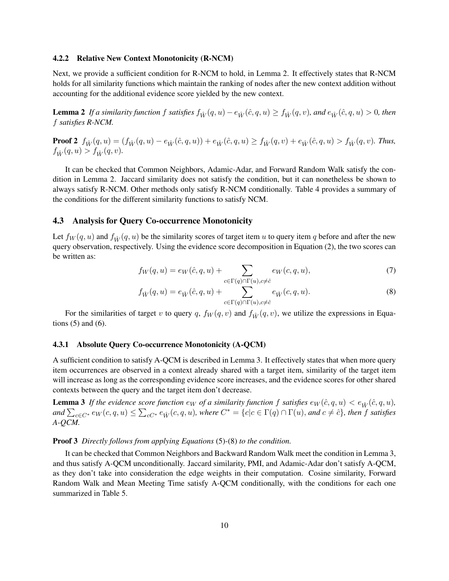#### 4.2.2 Relative New Context Monotonicity (R-NCM)

Next, we provide a sufficient condition for R-NCM to hold, in Lemma 2. It effectively states that R-NCM holds for all similarity functions which maintain the ranking of nodes after the new context addition without accounting for the additional evidence score yielded by the new context.

**Lemma 2** If a similarity function f satisfies  $f_{\hat{W}}(q, u) - e_{\hat{W}}(\hat{c}, q, u) \geq f_{\hat{W}}(q, v)$ , and  $e_{\hat{W}}(\hat{c}, q, u) > 0$ , then f *satisfies R-NCM.*

**Proof 2**  $f_{\hat{W}}(q, u) = (f_{\hat{W}}(q, u) - e_{\hat{W}}(\hat{c}, q, u)) + e_{\hat{W}}(\hat{c}, q, u) \ge f_{\hat{W}}(q, v) + e_{\hat{W}}(\hat{c}, q, u) > f_{\hat{W}}(q, v)$ . Thus,  $f_{\hat{W}}(q, u) > f_{\hat{W}}(q, v).$ 

It can be checked that Common Neighbors, Adamic-Adar, and Forward Random Walk satisfy the condition in Lemma 2. Jaccard similarity does not satisfy the condition, but it can nonetheless be shown to always satisfy R-NCM. Other methods only satisfy R-NCM conditionally. Table 4 provides a summary of the conditions for the different similarity functions to satisfy NCM.

#### 4.3 Analysis for Query Co-occurrence Monotonicity

Let  $f_W(q, u)$  and  $f_{\hat{W}}(q, u)$  be the similarity scores of target item u to query item q before and after the new query observation, respectively. Using the evidence score decomposition in Equation (2), the two scores can be written as:

$$
f_W(q, u) = e_W(\hat{c}, q, u) + \sum_{c \in \Gamma(q) \cap \Gamma(u), c \neq \hat{c}} e_W(c, q, u), \tag{7}
$$

$$
f_{\hat{W}}(q, u) = e_{\hat{W}}(\hat{c}, q, u) + \sum_{c \in \Gamma(q) \cap \Gamma(u), c \neq \hat{c}} e_{\hat{W}}(c, q, u).
$$
\n(8)

For the similarities of target v to query q,  $f_W(q, v)$  and  $f_{\hat{W}}(q, v)$ , we utilize the expressions in Equations  $(5)$  and  $(6)$ .

#### 4.3.1 Absolute Query Co-occurrence Monotonicity (A-QCM)

A sufficient condition to satisfy A-QCM is described in Lemma 3. It effectively states that when more query item occurrences are observed in a context already shared with a target item, similarity of the target item will increase as long as the corresponding evidence score increases, and the evidence scores for other shared contexts between the query and the target item don't decrease.

**Lemma 3** If the evidence score function  $e_W$  of a similarity function f satisfies  $e_W(\hat{c}, q, u) < e_{\hat{W}}(\hat{c}, q, u)$ , and  $\sum_{c \in C^*} e_W(c, q, u) \le \sum_{c \in C^*} e_{\hat{W}}(c, q, u)$ , where  $C^* = \{c | c \in \Gamma(q) \cap \Gamma(u),$  and  $c \neq \hat{c}\}$ , then f satisfies *A-QCM.*

#### Proof 3 *Directly follows from applying Equations* (5)*-*(8) *to the condition.*

It can be checked that Common Neighbors and Backward Random Walk meet the condition in Lemma 3, and thus satisfy A-QCM unconditionally. Jaccard similarity, PMI, and Adamic-Adar don't satisfy A-QCM, as they don't take into consideration the edge weights in their computation. Cosine similarity, Forward Random Walk and Mean Meeting Time satisfy A-QCM conditionally, with the conditions for each one summarized in Table 5.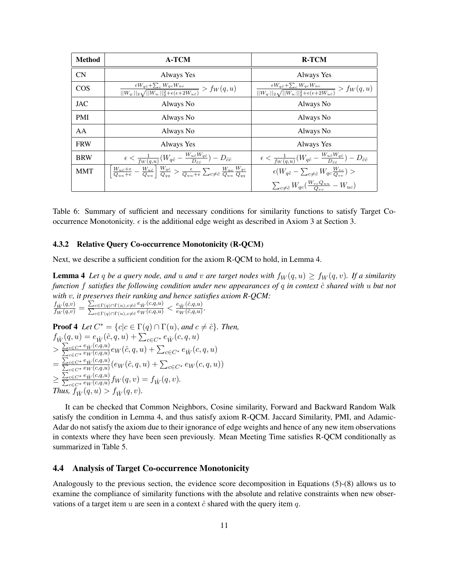| <b>Method</b> | <b>A-TCM</b>                                                                                                                                                                                                      | <b>R-TCM</b>                                                                                                                               |
|---------------|-------------------------------------------------------------------------------------------------------------------------------------------------------------------------------------------------------------------|--------------------------------------------------------------------------------------------------------------------------------------------|
| CN            | Always Yes                                                                                                                                                                                                        | Always Yes                                                                                                                                 |
| <b>COS</b>    | $\frac{\epsilon W_{q\hat{c}} + \sum_c W_{qc}W_{uc}}{  W_{q:}  _2 \sqrt{  W_{u:}  _2^2 + \epsilon(\epsilon + 2W_{uc})}} > f_W(q, u)$                                                                               | $\frac{\epsilon W_{q\hat{c}} + \sum_c W_{qc} W_{uc}}{  W_{q:}  _2 \sqrt{  W_{u:}  _2^2 + \epsilon(\epsilon + 2W_{u\hat{c}})}} > f_W(q, u)$ |
| <b>JAC</b>    | Always No                                                                                                                                                                                                         | Always No                                                                                                                                  |
| <b>PMI</b>    | Always No                                                                                                                                                                                                         | Always No                                                                                                                                  |
| AA            | Always No                                                                                                                                                                                                         | Always No                                                                                                                                  |
| <b>FRW</b>    | Always Yes                                                                                                                                                                                                        | Always Yes                                                                                                                                 |
| <b>BRW</b>    | $\epsilon < \frac{1}{f_W(q, u)}(W_{q\hat{c}} - \frac{W_{u\hat{c}}W_{q\hat{c}}}{D_{\hat{c}\hat{c}}}) - D_{\hat{c}\hat{c}}$                                                                                         | $\epsilon < \frac{1}{f_W(q,u)}(W_{q\hat{c}} - \frac{W_{u\hat{c}}W_{q\hat{c}}}{D_{\hat{c}\hat{c}}}) - D_{\hat{c}\hat{c}}$                   |
| <b>MMT</b>    | $\left[\frac{W_{u\hat{c}}+\epsilon}{Q_{uu}+\epsilon}-\frac{W_{u\hat{c}}}{Q_{uu}}\right]\frac{W_{q\hat{c}}}{Q_{aa}}>\frac{\epsilon}{Q_{uu}+\epsilon}\sum_{c\neq\hat{c}}\frac{W_{uc}}{Q_{uu}}\frac{W_{qc}}{Q_{aa}}$ | $\epsilon(W_{q\hat{c}} - \sum_{c \neq \hat{c}} W_{qc} \frac{W_{vc}}{Q_{cav}}) >$                                                           |
|               |                                                                                                                                                                                                                   | $\sum_{c \neq \hat{c}} W_{qc}(\frac{W_{vc}Q_{uu}}{Q_{uu}} - W_{uc})$                                                                       |

Table 6: Summary of sufficient and necessary conditions for similarity functions to satisfy Target Cooccurrence Monotonicity.  $\epsilon$  is the additional edge weight as described in Axiom 3 at Section 3.

#### 4.3.2 Relative Query Co-occurrence Monotonicity (R-QCM)

Next, we describe a sufficient condition for the axiom R-QCM to hold, in Lemma 4.

**Lemma 4** Let q be a query node, and u and v are target nodes with  $f_W(q, u) \ge f_W(q, v)$ . If a similarity *function* f *satisfies the following condition under new appearances of* q *in context* cˆ *shared with* u *but not with* v*, it preserves their ranking and hence satisfies axiom R-QCM:*  $\frac{f_{\hat{W}}(q,v)}{f_W(q,v)} = \frac{\sum_{c \in \Gamma(q) \cap \Gamma(u), c \neq \hat{c}} e_{\hat{W}}(c,q,u)}{\sum_{c \in \Gamma(q) \cap \Gamma(u), c \neq \hat{c}} e_W(c,q,u)}$  $\frac{\sum_{c \in \Gamma(q) \cap \Gamma(u), c \neq \hat{c}} e_{\hat{W}}(c, q, u)}{\sum_{c \in \Gamma(q) \cap \Gamma(u), c \neq \hat{c}} e_{W}(c, q, u)} < \frac{e_{\hat{W}}(\hat{c}, q, u)}{e_{W}(\hat{c}, q, u)}$  $\frac{e_{\hat{W}}(c,q,u)}{e_W(\hat{c},q,u)}$ .

Proof 4 Let 
$$
C^* = \{c | c \in \Gamma(q) \cap \Gamma(u), \text{ and } c \neq \hat{c}\}
$$
. Then,  
\n
$$
f_{\hat{W}}(q, u) = e_{\hat{W}}(\hat{c}, q, u) + \sum_{c \in C^*} e_{\hat{W}}(c, q, u)
$$
\n
$$
> \frac{\sum_{c \in C^*} e_{\hat{W}}(c, q, u)}{\sum_{c \in C^*} e_{\hat{W}}(c, q, u)} e_{\hat{W}}(\hat{c}, q, u) + \sum_{c \in C^*} e_{\hat{W}}(c, q, u)
$$
\n
$$
= \frac{\sum_{c \in C^*} e_{\hat{W}}(c, q, u)}{\sum_{c \in C^*} e_{\hat{W}}(c, q, u)} e_{\hat{W}}(\hat{c}, q, u) + \sum_{c \in C^*} e_{\hat{W}}(c, q, u))
$$
\n
$$
\geq \frac{\sum_{c \in C^*} e_{\hat{W}}(c, q, u)}{\sum_{c \in C^*} e_{\hat{W}}(c, q, u)} f_{\hat{W}}(q, v) = f_{\hat{W}}(q, v).
$$
\nThus,  $f_{\hat{W}}(q, u) > f_{\hat{W}}(q, v).$ 

It can be checked that Common Neighbors, Cosine similarity, Forward and Backward Random Walk satisfy the condition in Lemma 4, and thus satisfy axiom R-QCM. Jaccard Similarity, PMI, and Adamic-Adar do not satisfy the axiom due to their ignorance of edge weights and hence of any new item observations in contexts where they have been seen previously. Mean Meeting Time satisfies R-QCM conditionally as summarized in Table 5.

#### 4.4 Analysis of Target Co-occurrence Monotonicity

Analogously to the previous section, the evidence score decomposition in Equations (5)-(8) allows us to examine the compliance of similarity functions with the absolute and relative constraints when new observations of a target item u are seen in a context  $\hat{c}$  shared with the query item q.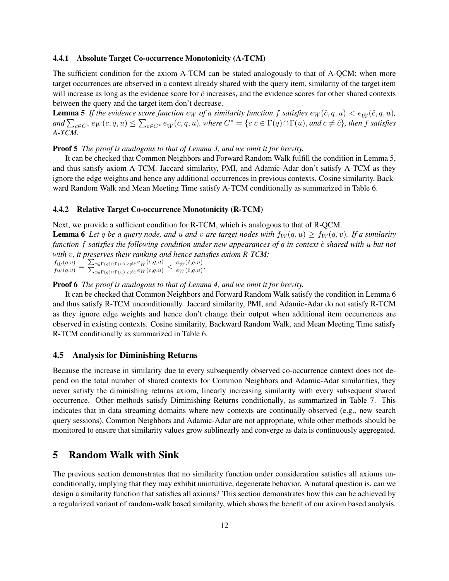#### 4.4.1 Absolute Target Co-occurrence Monotonicity (A-TCM)

The sufficient condition for the axiom A-TCM can be stated analogously to that of A-QCM: when more target occurrences are observed in a context already shared with the query item, similarity of the target item will increase as long as the evidence score for  $\hat{c}$  increases, and the evidence scores for other shared contexts between the query and the target item don't decrease.

**Lemma 5** If the evidence score function  $e_W$  of a similarity function f satisfies  $e_W(\hat{c}, q, u) < e_{\hat{W}}(\hat{c}, q, u)$ ,  $and \sum_{c \in C^*} e_W(c, q, u) \leq \sum_{c \in C^*} e_{\hat{W}}(c, q, u)$ , where  $C^* = \{c | c \in \Gamma(q) \cap \Gamma(u),$  and  $c \neq \hat{c}\}$ , then f satisfies *A-TCM.*

Proof 5 *The proof is analogous to that of Lemma 3, and we omit it for brevity.*

It can be checked that Common Neighbors and Forward Random Walk fulfill the condition in Lemma 5, and thus satisfy axiom A-TCM. Jaccard similarity, PMI, and Adamic-Adar don't satisfy A-TCM as they ignore the edge weights and hence any additional occurrences in previous contexts. Cosine similarity, Backward Random Walk and Mean Meeting Time satisfy A-TCM conditionally as summarized in Table 6.

#### 4.4.2 Relative Target Co-occurrence Monotonicity (R-TCM)

Next, we provide a sufficient condition for R-TCM, which is analogous to that of R-QCM.

**Lemma 6** Let q be a query node, and u and v are target nodes with  $f_W(q, u) \ge f_W(q, v)$ . If a similarity *function* f *satisfies the following condition under new appearances of* q *in context* cˆ *shared with* u *but not with* v*, it preserves their ranking and hence satisfies axiom R-TCM:*

 $\frac{f_{\hat{W}}(q,v)}{f_W(q,v)} = \frac{\sum_{c \in \Gamma(q) \cap \Gamma(u), c \neq \hat{c}} e_{\hat{W}}(c,q,u)}{\sum_{c \in \Gamma(q) \cap \Gamma(u), c \neq \hat{c}} e_W(c,q,u)}$  $\frac{\sum_{c \in \Gamma(q) \cap \Gamma(u), c \neq \hat{c}} e_{\hat{W}}(c, q, u)}{\sum_{c \in \Gamma(q) \cap \Gamma(u), c \neq \hat{c}} e_{W}(c, q, u)} < \frac{e_{\hat{W}}(\hat{c}, q, u)}{e_{W}(\hat{c}, q, u)}$  $\frac{e_{\hat{W}}(c,q,u)}{e_W(\hat{c},q,u)}$ .

Proof 6 *The proof is analogous to that of Lemma 4, and we omit it for brevity.*

It can be checked that Common Neighbors and Forward Random Walk satisfy the condition in Lemma 6 and thus satisfy R-TCM unconditionally. Jaccard similarity, PMI, and Adamic-Adar do not satisfy R-TCM as they ignore edge weights and hence don't change their output when additional item occurrences are observed in existing contexts. Cosine similarity, Backward Random Walk, and Mean Meeting Time satisfy R-TCM conditionally as summarized in Table 6.

### 4.5 Analysis for Diminishing Returns

Because the increase in similarity due to every subsequently observed co-occurrence context does not depend on the total number of shared contexts for Common Neighbors and Adamic-Adar similarities, they never satisfy the diminishing returns axiom, linearly increasing similarity with every subsequent shared occurrence. Other methods satisfy Diminishing Returns conditionally, as summarized in Table 7. This indicates that in data streaming domains where new contexts are continually observed (e.g., new search query sessions), Common Neighbors and Adamic-Adar are not appropriate, while other methods should be monitored to ensure that similarity values grow sublinearly and converge as data is continuously aggregated.

## 5 Random Walk with Sink

The previous section demonstrates that no similarity function under consideration satisfies all axioms unconditionally, implying that they may exhibit unintuitive, degenerate behavior. A natural question is, can we design a similarity function that satisfies all axioms? This section demonstrates how this can be achieved by a regularized variant of random-walk based similarity, which shows the benefit of our axiom based analysis.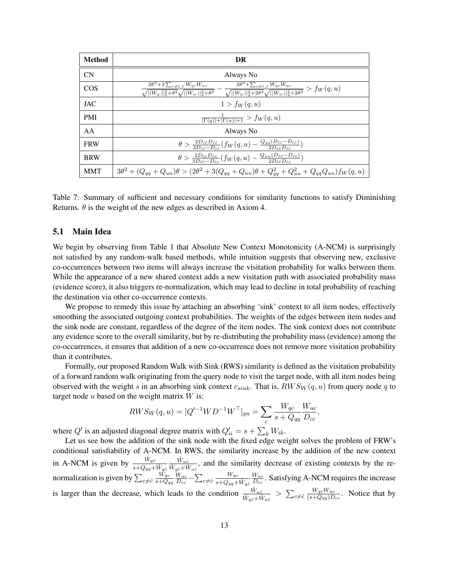| <b>Method</b> | DR                                                                                                                                                                                                                                                                                       |
|---------------|------------------------------------------------------------------------------------------------------------------------------------------------------------------------------------------------------------------------------------------------------------------------------------------|
| CN            | Always No                                                                                                                                                                                                                                                                                |
| COS           | $\frac{2\theta^2 + 2\sum_{c \neq \hat{c}, \tilde{c}} W_{qc}W_{uc}}{\sqrt{  W_{q:}  _2^2 + \theta^2}\sqrt{  W_{u:}  _2^2 + \theta^2}} - \frac{2\theta^2 + \sum_{c \neq \hat{c}, \tilde{c}} W_{qc}W_{uc}}{\sqrt{  W_{q:}  _2^2 + 2\theta^2}\sqrt{  W_{u:}  _2^2 + 2\theta^2}} > f_W(q, u)$ |
| <b>JAC</b>    | $1 > f_W(q, u)$                                                                                                                                                                                                                                                                          |
| <b>PMI</b>    | $\frac{1}{ \Gamma(q) + \Gamma(u) +1} > f_W(q,u)$                                                                                                                                                                                                                                         |
| AA            | Always No                                                                                                                                                                                                                                                                                |
| <b>FRW</b>    | $\theta > \frac{2D_{\tilde{c}\tilde{c}}D_{\tilde{c}\tilde{c}}}{3D_{\tilde{c}\tilde{c}}-D_{\tilde{c}\tilde{c}}}(f_W(q,u) - \frac{Q_{qq}(D_{\tilde{c}\tilde{c}}-D_{\tilde{c}\tilde{c}})}{2D_{\tilde{c}\tilde{c}}D_{\tilde{c}\tilde{c}}})$                                                  |
| <b>BRW</b>    | $\theta > \frac{2D_{\tilde{c}\tilde{c}}D_{\hat{c}\tilde{c}}}{3D_{zz}-D_{zz}}(f_W(q,u)-\frac{Q_{uu}(D_{\tilde{c}\tilde{c}}-D_{\hat{c}\tilde{c}})}{2D_{zz}D_{zz}})$                                                                                                                        |
| <b>MMT</b>    | $3\theta^2 + (Q_{qq} + Q_{uu})\theta > (2\theta^2 + 3(Q_{qq} + Q_{uu})\theta + Q_{gg}^2 + Q_{uu}^2 + Q_{qq}Q_{uu})f_W(q,u)$                                                                                                                                                              |

Table 7: Summary of sufficient and necessary conditions for similarity functions to satisfy Diminishing Returns.  $\theta$  is the weight of the new edges as described in Axiom 4.

#### 5.1 Main Idea

We begin by observing from Table 1 that Absolute New Context Monotonicity (A-NCM) is surprisingly not satisfied by any random-walk based methods, while intuition suggests that observing new, exclusive co-occurrences between two items will always increase the visitation probability for walks between them. While the appearance of a new shared context adds a new visitation path with associated probability mass (evidence score), it also triggers re-normalization, which may lead to decline in total probability of reaching the destination via other co-occurrence contexts.

We propose to remedy this issue by attaching an absorbing 'sink' context to all item nodes, effectively smoothing the associated outgoing context probabilities. The weights of the edges between item nodes and the sink node are constant, regardless of the degree of the item nodes. The sink context does not contribute any evidence score to the overall similarity, but by re-distributing the probability mass (evidence) among the co-occurrences, it ensures that addition of a new co-occurrence does not remove more visitation probability than it contributes.

Formally, our proposed Random Walk with Sink (RWS) similarity is defined as the visitation probability of a forward random walk originating from the query node to visit the target node, with all item nodes being observed with the weight s in an absorbing sink context  $c_{sink}$ . That is,  $RWS_W(q, u)$  from query node q to target node  $u$  based on the weight matrix  $W$  is:

$$
RWS_W(q, u) = [Q'^{-1}WD^{-1}W^{\top}]_{qu} = \sum_c \frac{W_{qc}}{s + Q_{qq}} \frac{W_{uc}}{D_{cc}},
$$

where  $Q'$  is an adjusted diagonal degree matrix with  $Q'_{ii} = s + \sum_{k} W_{ik}$ .

Let us see how the addition of the sink node with the fixed edge weight solves the problem of FRW's conditional satisfiability of A-NCM. In RWS, the similarity increase by the addition of the new context in A-NCM is given by  $\frac{\hat{W}_{q\hat{c}}}{s+Q_{qq}+\hat{W}_{q\hat{c}}}$  $\frac{\hat{W}_{u\hat{c}}}{\hat{W}_{q\hat{c}}+\hat{W}_{u\hat{c}}},$  and the similarity decrease of existing contexts by the renormalization is given by  $\sum_{c\neq\hat{c}}$  $W_{qc}$  $\overline{s+Q_{qq}}$  $W_{uc}$  $\frac{W_{uc}}{D_{cc}}-\sum_{c\neq\hat{c}}% \frac{W_{uc}}{2}+\sum_{c\in\hat{c}}\left( \frac{W_{uc}}{2}+\hat{c}_{c}\right)$  $W_{qc}$  $\overline{s\!+\!Q_{qq}\!+\!\hat{W}_{q\hat{c}}}$  $W_{uc}$  $\frac{W_{uc}}{D_{cc}}$ . Satisfying A-NCM requires the increase is larger than the decrease, which leads to the condition  $\frac{\hat{W}_{u\hat{c}}}{\hat{W}_{q\hat{c}}+\hat{W}_{u\hat{c}}} > \sum_{c \neq \hat{c}}$  $W_{qc}W_{uc}$  $\frac{W_{qc}W_{uc}}{(s+Q_{qq})D_{cc}}$ . Notice that by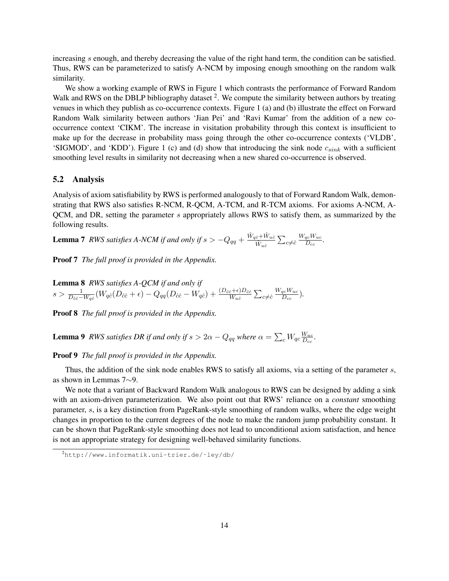increasing s enough, and thereby decreasing the value of the right hand term, the condition can be satisfied. Thus, RWS can be parameterized to satisfy A-NCM by imposing enough smoothing on the random walk similarity.

We show a working example of RWS in Figure 1 which contrasts the performance of Forward Random Walk and RWS on the DBLP bibliography dataset  $2$ . We compute the similarity between authors by treating venues in which they publish as co-occurrence contexts. Figure 1 (a) and (b) illustrate the effect on Forward Random Walk similarity between authors 'Jian Pei' and 'Ravi Kumar' from the addition of a new cooccurrence context 'CIKM'. The increase in visitation probability through this context is insufficient to make up for the decrease in probability mass going through the other co-occurrence contexts ('VLDB', 'SIGMOD', and 'KDD'). Figure 1 (c) and (d) show that introducing the sink node  $c_{sink}$  with a sufficient smoothing level results in similarity not decreasing when a new shared co-occurrence is observed.

#### 5.2 Analysis

Analysis of axiom satisfiability by RWS is performed analogously to that of Forward Random Walk, demonstrating that RWS also satisfies R-NCM, R-QCM, A-TCM, and R-TCM axioms. For axioms A-NCM, A-QCM, and DR, setting the parameter s appropriately allows RWS to satisfy them, as summarized by the following results.

**Lemma 7** RWS satisfies A-NCM if and only if  $s > -Q_{qq} + \frac{\hat{W}_{q\hat{c}} + \hat{W}_{u\hat{c}}}{\hat{W}_{u\hat{c}}} \sum_{c \neq \hat{c}}$  $W_{qc}W_{uc}$  $\frac{qc\,Wuc}{D_{cc}}$ .

Proof 7 *The full proof is provided in the Appendix.*

Lemma 8 *RWS satisfies A-QCM if and only if*  $s>\frac{1}{D_{\hat{c}\hat{c}}-W_{q\hat{c}}}(W_{q\hat{c}}(D_{\hat{c}\hat{c}}+\epsilon)-Q_{qq}(D_{\hat{c}\hat{c}}-W_{q\hat{c}})+\frac{(D_{\hat{c}\hat{c}}+\epsilon)D_{\hat{c}\hat{c}}}{W_{u\hat{c}}}\sum_{c\neq\hat{c}}$  $W_{qc}W_{uc}$  $\frac{q_c$ <sup>*w*</sup> *uc*<sub>c</sub> $\overline{D_{cc}}$  $\overline{D_{cc}}$ 

Proof 8 *The full proof is provided in the Appendix.*

**Lemma 9** RWS satisfies DR if and only if  $s > 2\alpha - Q_{qq}$  where  $\alpha = \sum_{c} W_{qc} \frac{W_{uc}}{D_{cc}}$  $\frac{W_{uc}}{D_{cc}}$ .

Proof 9 *The full proof is provided in the Appendix.*

Thus, the addition of the sink node enables RWS to satisfy all axioms, via a setting of the parameter s, as shown in Lemmas 7∼9.

We note that a variant of Backward Random Walk analogous to RWS can be designed by adding a sink with an axiom-driven parameterization. We also point out that RWS' reliance on a *constant* smoothing parameter, s, is a key distinction from PageRank-style smoothing of random walks, where the edge weight changes in proportion to the current degrees of the node to make the random jump probability constant. It can be shown that PageRank-style smoothing does not lead to unconditional axiom satisfaction, and hence is not an appropriate strategy for designing well-behaved similarity functions.

<sup>2</sup>http://www.informatik.uni-trier.de/˜ley/db/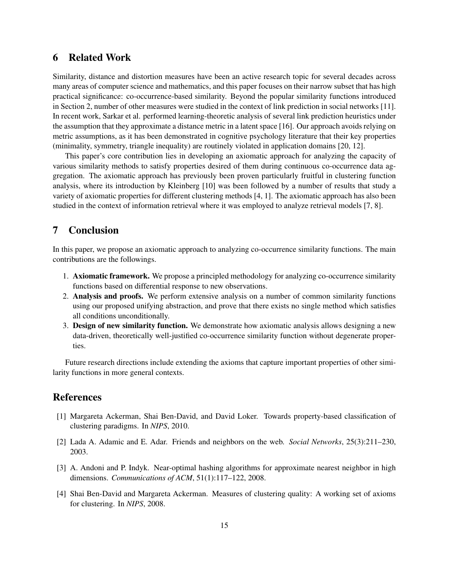## 6 Related Work

Similarity, distance and distortion measures have been an active research topic for several decades across many areas of computer science and mathematics, and this paper focuses on their narrow subset that has high practical significance: co-occurrence-based similarity. Beyond the popular similarity functions introduced in Section 2, number of other measures were studied in the context of link prediction in social networks [11]. In recent work, Sarkar et al. performed learning-theoretic analysis of several link prediction heuristics under the assumption that they approximate a distance metric in a latent space [16]. Our approach avoids relying on metric assumptions, as it has been demonstrated in cognitive psychology literature that their key properties (minimality, symmetry, triangle inequality) are routinely violated in application domains [20, 12].

This paper's core contribution lies in developing an axiomatic approach for analyzing the capacity of various similarity methods to satisfy properties desired of them during continuous co-occurrence data aggregation. The axiomatic approach has previously been proven particularly fruitful in clustering function analysis, where its introduction by Kleinberg [10] was been followed by a number of results that study a variety of axiomatic properties for different clustering methods [4, 1]. The axiomatic approach has also been studied in the context of information retrieval where it was employed to analyze retrieval models [7, 8].

## 7 Conclusion

In this paper, we propose an axiomatic approach to analyzing co-occurrence similarity functions. The main contributions are the followings.

- 1. Axiomatic framework. We propose a principled methodology for analyzing co-occurrence similarity functions based on differential response to new observations.
- 2. Analysis and proofs. We perform extensive analysis on a number of common similarity functions using our proposed unifying abstraction, and prove that there exists no single method which satisfies all conditions unconditionally.
- 3. Design of new similarity function. We demonstrate how axiomatic analysis allows designing a new data-driven, theoretically well-justified co-occurrence similarity function without degenerate properties.

Future research directions include extending the axioms that capture important properties of other similarity functions in more general contexts.

### **References**

- [1] Margareta Ackerman, Shai Ben-David, and David Loker. Towards property-based classification of clustering paradigms. In *NIPS*, 2010.
- [2] Lada A. Adamic and E. Adar. Friends and neighbors on the web. *Social Networks*, 25(3):211–230, 2003.
- [3] A. Andoni and P. Indyk. Near-optimal hashing algorithms for approximate nearest neighbor in high dimensions. *Communications of ACM*, 51(1):117–122, 2008.
- [4] Shai Ben-David and Margareta Ackerman. Measures of clustering quality: A working set of axioms for clustering. In *NIPS*, 2008.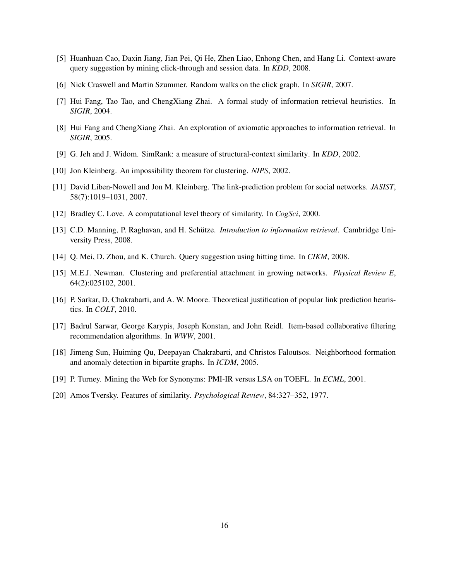- [5] Huanhuan Cao, Daxin Jiang, Jian Pei, Qi He, Zhen Liao, Enhong Chen, and Hang Li. Context-aware query suggestion by mining click-through and session data. In *KDD*, 2008.
- [6] Nick Craswell and Martin Szummer. Random walks on the click graph. In *SIGIR*, 2007.
- [7] Hui Fang, Tao Tao, and ChengXiang Zhai. A formal study of information retrieval heuristics. In *SIGIR*, 2004.
- [8] Hui Fang and ChengXiang Zhai. An exploration of axiomatic approaches to information retrieval. In *SIGIR*, 2005.
- [9] G. Jeh and J. Widom. SimRank: a measure of structural-context similarity. In *KDD*, 2002.
- [10] Jon Kleinberg. An impossibility theorem for clustering. *NIPS*, 2002.
- [11] David Liben-Nowell and Jon M. Kleinberg. The link-prediction problem for social networks. *JASIST*, 58(7):1019–1031, 2007.
- [12] Bradley C. Love. A computational level theory of similarity. In *CogSci*, 2000.
- [13] C.D. Manning, P. Raghavan, and H. Schütze. *Introduction to information retrieval*. Cambridge University Press, 2008.
- [14] Q. Mei, D. Zhou, and K. Church. Query suggestion using hitting time. In *CIKM*, 2008.
- [15] M.E.J. Newman. Clustering and preferential attachment in growing networks. *Physical Review E*, 64(2):025102, 2001.
- [16] P. Sarkar, D. Chakrabarti, and A. W. Moore. Theoretical justification of popular link prediction heuristics. In *COLT*, 2010.
- [17] Badrul Sarwar, George Karypis, Joseph Konstan, and John Reidl. Item-based collaborative filtering recommendation algorithms. In *WWW*, 2001.
- [18] Jimeng Sun, Huiming Qu, Deepayan Chakrabarti, and Christos Faloutsos. Neighborhood formation and anomaly detection in bipartite graphs. In *ICDM*, 2005.
- [19] P. Turney. Mining the Web for Synonyms: PMI-IR versus LSA on TOEFL. In *ECML*, 2001.
- [20] Amos Tversky. Features of similarity. *Psychological Review*, 84:327–352, 1977.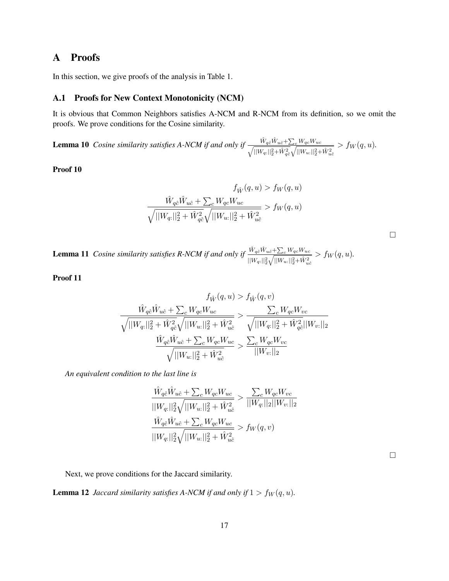# A Proofs

In this section, we give proofs of the analysis in Table 1.

### A.1 Proofs for New Context Monotonicity (NCM)

It is obvious that Common Neighbors satisfies A-NCM and R-NCM from its definition, so we omit the proofs. We prove conditions for the Cosine similarity.

**Lemma 10** *Cosine similarity satisfies A-NCM if and only if*  $\frac{\hat{W}_{q\hat{c}}\hat{W}_{u\hat{c}} + \sum_c W_{qc}W_{uc}}{\sqrt{||W_{q:}||_2^2 + \hat{W}_{q\hat{c}}^2}\sqrt{||W_{u:}||_2^2 + \hat{W}_{u\hat{c}}^2}}$  $> f_W(q, u)$ .

Proof 10

$$
f_{\hat{W}}(q, u) > f_{W}(q, u)
$$

$$
\frac{\hat{W}_{q\hat{c}}\hat{W}_{u\hat{c}} + \sum_{c} W_{qc}W_{uc}}{\sqrt{||W_{q:}||_{2}^{2} + \hat{W}_{q\hat{c}}^{2}} \sqrt{||W_{u:}||_{2}^{2} + \hat{W}_{u\hat{c}}^{2}}} > f_{W}(q, u)
$$

**Lemma 11** *Cosine similarity satisfies R-NCM if and only if*  $\frac{\hat{W}_{q\hat{c}}\hat{W}_{u\hat{c}} + \sum_c W_{qc}W_{uc}}{\sqrt{1-\hat{w}^2 + \hat{w}^2 + \hat{w}^2}}$  $||W_{q:}||_{2}^{2}\sqrt{||W_{u:}||_{2}^{2}+\hat{W}_{u\hat{c}}^{2}}$  $> f_W(q, u)$ .

Proof 11

$$
f_{\hat{W}}(q, u) > f_{\hat{W}}(q, v)
$$

$$
\frac{\hat{W}_{q\hat{c}}\hat{W}_{u\hat{c}} + \sum_{c} W_{qc}W_{uc}}{\sqrt{||W_{q:}||_{2}^{2} + \hat{W}_{q\hat{c}}^{2}} \sqrt{||W_{u:}||_{2}^{2} + \hat{W}_{u\hat{c}}^{2}}} > \frac{\sum_{c} W_{qc}W_{vc}}{\sqrt{||W_{q:}||_{2}^{2} + \hat{W}_{q\hat{c}}^{2}} ||W_{v:}||_{2}} \frac{\hat{W}_{q\hat{c}}\hat{W}_{u\hat{c}} + \sum_{c} W_{qc}W_{uc}}{\sqrt{||W_{u:}||_{2}^{2} + \hat{W}_{u\hat{c}}^{2}}} > \frac{\sum_{c} W_{qc}W_{vc}}{||W_{v:}||_{2}}
$$

*An equivalent condition to the last line is*

$$
\frac{\hat{W}_{q\hat{c}}\hat{W}_{u\hat{c}} + \sum_{c} W_{qc}W_{uc}}{||W_{q:}||_{2}^{2}\sqrt{||W_{u:}||_{2}^{2} + \hat{W}_{u\hat{c}}^{2}}} > \frac{\sum_{c} W_{qc}W_{vc}}{||W_{q:}||_{2}||W_{v:}||_{2}}
$$

$$
\frac{\hat{W}_{q\hat{c}}\hat{W}_{u\hat{c}} + \sum_{c} W_{qc}W_{uc}}{||W_{q:}||_{2}^{2}\sqrt{||W_{u:}||_{2}^{2} + \hat{W}_{u\hat{c}}^{2}}} > f_{W}(q, v)
$$

 $\Box$ 

Next, we prove conditions for the Jaccard similarity.

**Lemma 12** *Jaccard similarity satisfies A-NCM if and only if*  $1 > f_W(q, u)$ *.*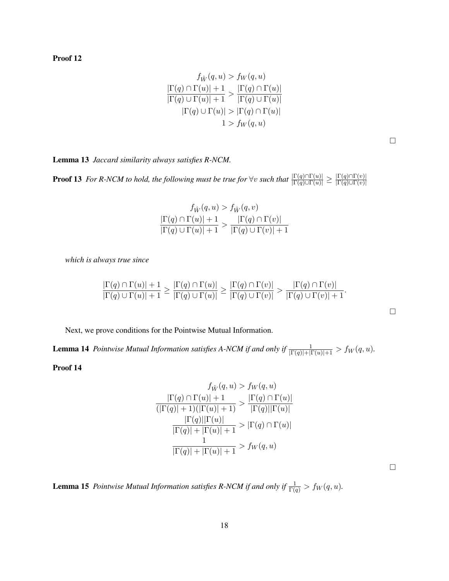Proof 12

$$
f_{\hat{W}}(q, u) > f_{W}(q, u)
$$

$$
\frac{|\Gamma(q) \cap \Gamma(u)| + 1}{|\Gamma(q) \cup \Gamma(u)| + 1} > \frac{|\Gamma(q) \cap \Gamma(u)|}{|\Gamma(q) \cup \Gamma(u)|}
$$

$$
|\Gamma(q) \cup \Gamma(u)| > |\Gamma(q) \cap \Gamma(u)|
$$

$$
1 > f_{W}(q, u)
$$

 $\Box$ 

Lemma 13 *Jaccard similarity always satisfies R-NCM.*

**Proof 13** *For R-NCM to hold, the following must be true for*  $\forall v$  *such that*  $\frac{|\Gamma(q) \cap \Gamma(u)|}{|\Gamma(q) \cup \Gamma(u)|} \ge \frac{|\Gamma(q) \cap \Gamma(v)|}{|\Gamma(q) \cup \Gamma(v)|}$  $|\Gamma(q) \cup Γ(v)|$ 

$$
f_{\hat{W}}(q, u) > f_{\hat{W}}(q, v)
$$

$$
\frac{|\Gamma(q) \cap \Gamma(u)| + 1}{|\Gamma(q) \cup \Gamma(u)| + 1} > \frac{|\Gamma(q) \cap \Gamma(v)|}{|\Gamma(q) \cup \Gamma(v)| + 1}
$$

*which is always true since*

$$
\frac{|\Gamma(q) \cap \Gamma(u)| + 1}{|\Gamma(q) \cup \Gamma(u)| + 1} \ge \frac{|\Gamma(q) \cap \Gamma(u)|}{|\Gamma(q) \cup \Gamma(u)|} \ge \frac{|\Gamma(q) \cap \Gamma(v)|}{|\Gamma(q) \cup \Gamma(v)|} > \frac{|\Gamma(q) \cap \Gamma(v)|}{|\Gamma(q) \cup \Gamma(v)| + 1}.
$$

Next, we prove conditions for the Pointwise Mutual Information.

**Lemma 14** *Pointwise Mutual Information satisfies A-NCM if and only if*  $\frac{1}{|\Gamma(q)|+|\Gamma(u)|+1}$  >  $f_W(q, u)$ .

Proof 14

$$
f_{\hat{W}}(q, u) > f_{W}(q, u)
$$

$$
\frac{|\Gamma(q) \cap \Gamma(u)| + 1}{(|\Gamma(q)| + 1)(|\Gamma(u)| + 1)} > \frac{|\Gamma(q) \cap \Gamma(u)|}{|\Gamma(q)||\Gamma(u)|}
$$

$$
\frac{|\Gamma(q)||\Gamma(u)|}{|\Gamma(q)| + |\Gamma(u)| + 1} > |\Gamma(q) \cap \Gamma(u)|
$$

$$
\frac{1}{|\Gamma(q)| + |\Gamma(u)| + 1} > f_{W}(q, u)
$$

**Lemma 15** *Pointwise Mutual Information satisfies R-NCM if and only if*  $\frac{1}{\Gamma(q)}$  >  $f_W(q, u)$ .

 $\Box$ 

 $\Box$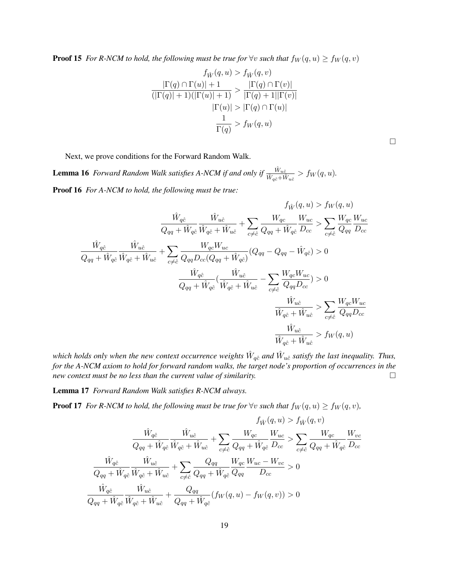**Proof 15** *For R-NCM to hold, the following must be true for*  $\forall v$  *such that*  $f_W(q, u) \ge f_W(q, v)$ 

$$
f_{\hat{W}}(q, u) > f_{\hat{W}}(q, v)
$$

$$
\frac{|\Gamma(q) \cap \Gamma(u)| + 1}{(|\Gamma(q)| + 1)(|\Gamma(u)| + 1)} > \frac{|\Gamma(q) \cap \Gamma(v)|}{|\Gamma(q) + 1||\Gamma(v)|}
$$

$$
|\Gamma(u)| > |\Gamma(q) \cap \Gamma(u)|
$$

$$
\frac{1}{\Gamma(q)} > f_W(q, u)
$$

 $\Box$ 

Next, we prove conditions for the Forward Random Walk.

**Lemma 16** Forward Random Walk satisfies A-NCM if and only if  $\frac{\hat{W}_{u\hat{c}}}{\hat{W}_{q\hat{c}}+\hat{W}_{u\hat{c}}} > f_W(q, u)$ . Proof 16 *For A-NCM to hold, the following must be true:*

$$
f_{\hat{W}}(q, u) > f_{W}(q, u)
$$
\n
$$
\frac{\hat{W}_{q\hat{c}}}{Q_{qq} + \hat{W}_{q\hat{c}}}\frac{\hat{W}_{u\hat{c}}}{\hat{W}_{q\hat{c}} + \hat{W}_{u\hat{c}}} + \sum_{c \neq \hat{c}} \frac{W_{qc}}{Q_{qq} + \hat{W}_{q\hat{c}}}\frac{W_{uc}}{D_{cc}} > \sum_{c \neq \hat{c}} \frac{W_{qc}}{Q_{qq}}\frac{W_{uc}}{D_{cc}}
$$
\n
$$
\frac{\hat{W}_{q\hat{c}}}{Q_{qq} + \hat{W}_{q\hat{c}}}\frac{\hat{W}_{u\hat{c}}}{\hat{W}_{q\hat{c}} + \hat{W}_{u\hat{c}}} + \sum_{c \neq \hat{c}} \frac{W_{qc}W_{uc}}{Q_{qq}D_{cc}(Q_{qq} + \hat{W}_{q\hat{c}})}(Q_{qq} - Q_{qq} - \hat{W}_{q\hat{c}}) > 0
$$
\n
$$
\frac{\hat{W}_{q\hat{c}}}{Q_{qq} + \hat{W}_{q\hat{c}}}(\frac{\hat{W}_{u\hat{c}}}{\hat{W}_{q\hat{c}} + \hat{W}_{u\hat{c}}} - \sum_{c \neq \hat{c}} \frac{W_{qc}W_{uc}}{Q_{qq}D_{cc}}) > 0
$$
\n
$$
\frac{\hat{W}_{u\hat{c}}}{\hat{W}_{q\hat{c}} + \hat{W}_{u\hat{c}}} > \sum_{c \neq \hat{c}} \frac{W_{qc}W_{uc}}{Q_{qq}D_{cc}}
$$
\n
$$
\frac{\hat{W}_{u\hat{c}}}{\hat{W}_{q\hat{c}} + \hat{W}_{u\hat{c}}} > f_{W}(q, u)
$$

which holds only when the new context occurrence weights  $\hat{W}_{q\hat{c}}$  and  $\hat{W}_{u\hat{c}}$  satisfy the last inequality. Thus, *for the A-NCM axiom to hold for forward random walks, the target node's proportion of occurrences in the new context must be no less than the current value of similarity.*

Lemma 17 *Forward Random Walk satisfies R-NCM always.*

**Proof 17** *For R-NCM to hold, the following must be true for*  $\forall v$  *such that*  $f_W(q, u) \ge f_W(q, v)$ *,* 

$$
f_{\hat{W}}(q, u) > f_{\hat{W}}(q, v)
$$
\n
$$
\frac{\hat{W}_{q\hat{c}}}{Q_{qq} + \hat{W}_{q\hat{c}}} \frac{\hat{W}_{u\hat{c}}}{\hat{W}_{q\hat{c}} + \hat{W}_{u\hat{c}}} + \sum_{c \neq \hat{c}} \frac{W_{qc}}{Q_{qq} + \hat{W}_{q\hat{c}}} \frac{W_{uc}}{D_{cc}} > \sum_{c \neq \hat{c}} \frac{W_{qc}}{Q_{qq} + \hat{W}_{q\hat{c}}} \frac{W_{vc}}{D_{cc}}
$$
\n
$$
\frac{\hat{W}_{q\hat{c}}}{Q_{qq} + \hat{W}_{q\hat{c}}} \frac{\hat{W}_{u\hat{c}}}{\hat{W}_{q\hat{c}} + \hat{W}_{u\hat{c}}} + \sum_{c \neq \hat{c}} \frac{Q_{qq}}{Q_{qq} + \hat{W}_{q\hat{c}}} \frac{W_{qc}}{Q_{qq}} \frac{W_{uc} - W_{vc}}{D_{cc}} > 0
$$
\n
$$
\frac{\hat{W}_{q\hat{c}}}{Q_{qq} + \hat{W}_{q\hat{c}}} \frac{\hat{W}_{u\hat{c}}}{\hat{W}_{q\hat{c}} + \hat{W}_{u\hat{c}}} + \frac{Q_{qq}}{Q_{qq} + \hat{W}_{q\hat{c}}} (f_W(q, u) - f_W(q, v)) > 0
$$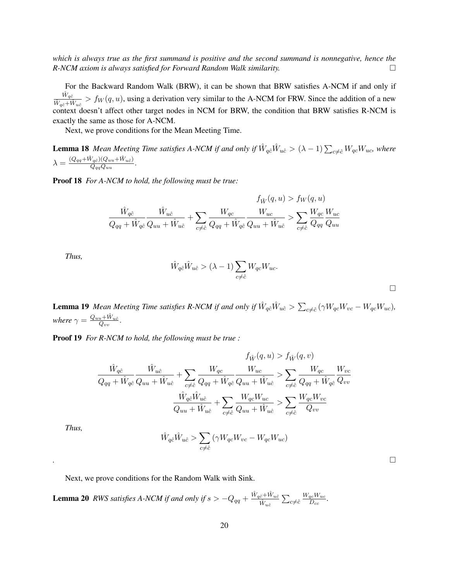*which is always true as the first summand is positive and the second summand is nonnegative, hence the R-NCM axiom is always satisfied for Forward Random Walk similarity.*

For the Backward Random Walk (BRW), it can be shown that BRW satisfies A-NCM if and only if  $\frac{\hat{W}_{q\hat{c}}}{\hat{W}_{q\hat{c}}+\hat{W}_{u\hat{c}}} > f_W(q, u)$ , using a derivation very similar to the A-NCM for FRW. Since the addition of a new context doesn't affect other target nodes in NCM for BRW, the condition that BRW satisfies R-NCM is exactly the same as those for A-NCM.

Next, we prove conditions for the Mean Meeting Time.

**Lemma 18** Mean Meeting Time satisfies A-NCM if and only if  $\hat{W}_{q\hat{c}}\hat{W}_{u\hat{c}} > (\lambda - 1)\sum_{c\neq \hat{c}}W_{qc}W_{uc}$ , where  $\lambda = \frac{(Q_{qq} + \hat{W}_{q\hat{c}})(Q_{uu} + \hat{W}_{u\hat{c}})}{Q}$  $\frac{Q_{qq}Q_{uu}+W_{u\hat{c}})}{Q_{qq}Q_{uu}}.$ 

Proof 18 *For A-NCM to hold, the following must be true:*

$$
\frac{\hat{W}_{q\hat{c}}}{Q_{qq} + \hat{W}_{q\hat{c}}} \frac{\hat{W}_{u\hat{c}}}{Q_{uu} + \hat{W}_{u\hat{c}}} + \sum_{c \neq \hat{c}} \frac{W_{qc}}{Q_{qq} + \hat{W}_{q\hat{c}}} \frac{W_{uc}}{Q_{uu} + \hat{W}_{u\hat{c}}} > \sum_{c \neq \hat{c}} \frac{W_{qc}}{Q_{qq}} \frac{W_{uc}}{Q_{uu}}
$$

*Thus,*

$$
\hat{W}_{q\hat{c}}\hat{W}_{u\hat{c}} > (\lambda - 1) \sum_{c \neq \hat{c}} W_{qc}W_{uc}.
$$

**Lemma 19** Mean Meeting Time satisfies R-NCM if and only if  $\hat{W}_{q\hat{c}}\hat{W}_{u\hat{c}} > \sum_{c\neq \hat{c}}(\gamma W_{qc}W_{vc} - W_{qc}W_{uc}),$ where  $\gamma = \frac{Q_{uu} + \hat{W}_{u\hat{c}}}{Q_{vv}}.$ 

Proof 19 *For R-NCM to hold, the following must be true :*

$$
\frac{\hat{W}_{q\hat{c}}}{Q_{qq} + \hat{W}_{q\hat{c}}} \frac{\hat{W}_{u\hat{c}}}{Q_{uu} + \hat{W}_{u\hat{c}}} + \sum_{c \neq \hat{c}} \frac{W_{qc}}{Q_{qq} + \hat{W}_{q\hat{c}}} \frac{W_{uc}}{Q_{uu} + \hat{W}_{u\hat{c}}} > \sum_{c \neq \hat{c}} \frac{W_{qc}}{Q_{qq} + \hat{W}_{q\hat{c}}} \frac{W_{vc}}{Q_{vv}} \frac{W_{vc}}{Q_{vv}}
$$

$$
\frac{\hat{W}_{q\hat{c}}\hat{W}_{u\hat{c}}}{Q_{uu} + \hat{W}_{u\hat{c}}} + \sum_{c \neq \hat{c}} \frac{W_{qc}W_{uc}}{Q_{uu} + \hat{W}_{u\hat{c}}} > \sum_{c \neq \hat{c}} \frac{W_{qc}W_{vc}}{Q_{vv}}
$$

*Thus,*

$$
\hat{W}_{q\hat{c}}\hat{W}_{u\hat{c}} > \sum_{c \neq \hat{c}} \left(\gamma W_{qc}W_{vc} - W_{qc}W_{uc}\right)
$$

*.*

Next, we prove conditions for the Random Walk with Sink.

**Lemma 20** RWS satisfies A-NCM if and only if  $s > -Q_{qq} + \frac{\hat{W}_{q\hat{c}} + \hat{W}_{u\hat{c}}}{\hat{W}_{u\hat{c}}} \sum_{c \neq \hat{c}}$  $W_{qc}W_{uc}$  $\frac{qc^{VV}uc}{D_{cc}}$ .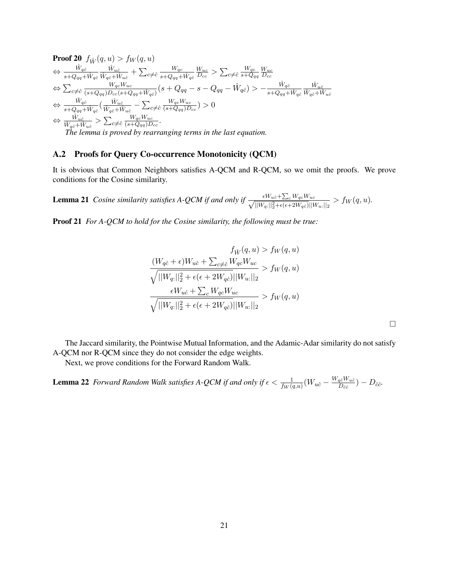Proof 20 
$$
f_{\hat{W}}(q, u) > f_W(q, u)
$$
  
\n
$$
\Leftrightarrow \frac{\hat{W}_{q\hat{c}}}{s + Q_{qq} + \hat{W}_{q\hat{c}}} \frac{\hat{W}_{u\hat{c}}}{\hat{W}_{q\hat{c} + \hat{W}_{u\hat{c}}}} + \sum_{c \neq \hat{c}} \frac{W_{qc}}{s + Q_{qq} + \hat{W}_{q\hat{c}}} \frac{W_{uc}}{D_{cc}} > \sum_{c \neq \hat{c}} \frac{W_{qc}}{s + Q_{qq}} \frac{W_{uc}}{D_{cc}}
$$
\n
$$
\Leftrightarrow \sum_{c \neq \hat{c}} \frac{W_{qc}W_{uc}}{(s + Q_{qq})D_{cc}(s + Q_{qq} + \hat{W}_{q\hat{c}})} (s + Q_{qq} - s - Q_{qq} - \hat{W}_{q\hat{c}}) > -\frac{\hat{W}_{q\hat{c}}}{s + Q_{qq} + \hat{W}_{q\hat{c}}} \frac{\hat{W}_{u\hat{c}}}{\hat{W}_{q\hat{c}} + \hat{W}_{u\hat{c}}} \Leftrightarrow \frac{\hat{W}_{q\hat{c}}}{\hat{w}_{q\hat{c}} + \hat{W}_{q\hat{c}}} (\frac{\hat{W}_{u\hat{c}}}{\hat{W}_{q\hat{c}} + \hat{W}_{u\hat{c}}} - \sum_{c \neq \hat{c}} \frac{W_{qc}W_{uc}}{(\hat{s} + Q_{qq})D_{cc}}) > 0
$$
\n
$$
\Leftrightarrow \frac{\hat{W}_{u\hat{c}}}{\hat{W}_{q\hat{c}} + \hat{W}_{u\hat{c}}} > \sum_{c \neq \hat{c}} \frac{W_{qc}W_{uc}}{(\hat{s} + Q_{qq})D_{cc}}.
$$
\nThe lemma is proved by rearranging terms in the last equation.

#### A.2 Proofs for Query Co-occurrence Monotonicity (QCM)

It is obvious that Common Neighbors satisfies A-QCM and R-QCM, so we omit the proofs. We prove conditions for the Cosine similarity.

**Lemma 21** *Cosine similarity satisfies A-QCM if and only if*  $\frac{\epsilon W_{u\hat{c}} + \sum_{c} W_{qc}W_{uc}}{\sqrt{||W_{q:}||_2^2 + \epsilon (\epsilon + 2W_{q\hat{c}})||W_{u:}||_2}} > f_W(q, u)$ .

Proof 21 *For A-QCM to hold for the Cosine similarity, the following must be true:*

$$
f_{\hat{W}}(q, u) > f_{W}(q, u)
$$
  
\n
$$
\frac{(W_{q\hat{c}} + \epsilon)W_{u\hat{c}} + \sum_{c \neq \hat{c}} W_{qc}W_{uc}}{\sqrt{||W_{q:}||_2^2 + \epsilon(\epsilon + 2W_{q\hat{c}})||W_{u:}||_2}} > f_{W}(q, u)
$$
  
\n
$$
\frac{\epsilon W_{u\hat{c}} + \sum_{c} W_{qc}W_{uc}}{\sqrt{||W_{q:}||_2^2 + \epsilon(\epsilon + 2W_{q\hat{c}})||W_{u:}||_2}} > f_{W}(q, u)
$$

The Jaccard similarity, the Pointwise Mutual Information, and the Adamic-Adar similarity do not satisfy A-QCM nor R-QCM since they do not consider the edge weights.

Next, we prove conditions for the Forward Random Walk.

**Lemma 22** Forward Random Walk satisfies A-QCM if and only if  $\epsilon < \frac{1}{f_W(q,u)}(W_{u\hat{c}} - \frac{W_{q\hat{c}}W_{u\hat{c}}}{D_{\hat{c}\hat{c}}}$  $\frac{q\hat{c}^{\mathit{W}}u\hat{c}}{D_{\hat{c}\hat{c}}}\big) - D_{\hat{c}\hat{c}}.$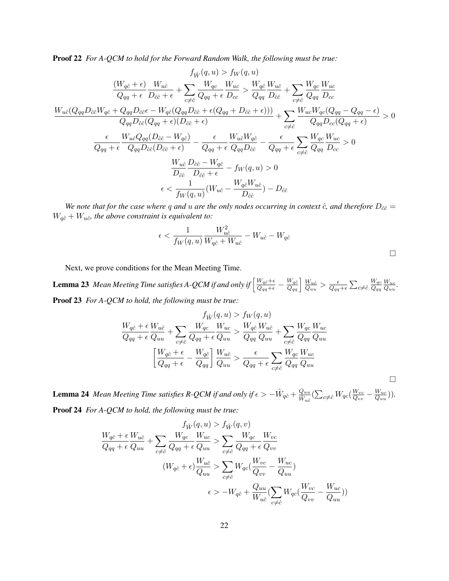Proof 22 *For A-QCM to hold for the Forward Random Walk, the following must be true:*

$$
f_{\hat{W}}(q, u) > f_{W}(q, u)
$$
\n
$$
\frac{(W_{q\hat{c}} + \epsilon)}{Q_{qq} + \epsilon} \frac{W_{u\hat{c}}}{D_{\hat{c}\hat{c}} + \epsilon} + \sum_{c \neq \hat{c}} \frac{W_{qc}}{Q_{qq} + \epsilon} \frac{W_{uc}}{D_{cc}} > \frac{W_{q\hat{c}}}{Q_{qq}} \frac{W_{u\hat{c}}}{D_{\hat{c}\hat{c}}} + \sum_{c \neq \hat{c}} \frac{W_{qc}}{Q_{qq}} \frac{W_{uc}}{D_{cc}}
$$
\n
$$
\frac{W_{u\hat{c}}(Q_{qq}D_{\hat{c}\hat{c}}W_{q\hat{c}} + Q_{qq}D_{\hat{c}\hat{c}}\epsilon - W_{q\hat{c}}(Q_{qq}D_{\hat{c}\hat{c}} + \epsilon(Q_{qq} + D_{\hat{c}\hat{c}} + \epsilon)))}{Q_{qq}D_{\hat{c}\hat{c}}(Q_{qq} + \epsilon)(D_{\hat{c}\hat{c}} + \epsilon)} + \sum_{c \neq \hat{c}} \frac{W_{uc}W_{qc}(Q_{qq} - Q_{qq} - \epsilon)}{Q_{qq}D_{cc}(Q_{qq} + \epsilon)} > 0
$$
\n
$$
\frac{\epsilon}{Q_{qq} + \epsilon} \frac{W_{u\hat{c}}Q_{qq}(D_{\hat{c}\hat{c}} - W_{q\hat{c}})}{Q_{qq}D_{\hat{c}\hat{c}}(D_{\hat{c}\hat{c}} + \epsilon)} - \frac{\epsilon}{Q_{qq} + \epsilon} \frac{W_{u\hat{c}}W_{q\hat{c}}}{Q_{qq}D_{\hat{c}\hat{c}}} - \frac{\epsilon}{Q_{qq} + \epsilon} \sum_{c \neq \hat{c}} \frac{W_{qc}}{Q_{qq}} \frac{W_{uc}}{D_{cc}} > 0
$$
\n
$$
\frac{W_{u\hat{c}}}{D_{\hat{c}\hat{c}}} \frac{D_{\hat{c}\hat{c}} - W_{q\hat{c}}}{D_{\hat{c}\hat{c}} + \epsilon} - f_{W}(q, u) > 0
$$
\n
$$
\epsilon < \frac{1}{f_{W}(q, u)}(W_{u\hat{c}} - \frac{W_{q\hat{c}}W_{u\hat{c}}}{D_{\hat{c}\hat{c}}}) - D_{\hat{c}\hat{c}}
$$

*We note that for the case where* q and u are the only nodes occurring in context  $\hat{c}$ *, and therefore*  $D_{\hat{c}\hat{c}} =$  $W_{q\hat{c}} + W_{u\hat{c}}$ *, the above constraint is equivalent to:* 

$$
\epsilon < \frac{1}{f_W(q, u)} \frac{W_{u\hat{c}}^2}{W_{q\hat{c}} + W_{u\hat{c}}} - W_{u\hat{c}} - W_{q\hat{c}}
$$

Next, we prove conditions for the Mean Meeting Time.

**Lemma 23** Mean Meeting Time satisfies A-QCM if and only if  $\left[\frac{W_q\hat{c}+\epsilon}{Q_{qq}+\epsilon}-\frac{W_q\hat{c}}{Q_{qu}}\right]\frac{W_{u\hat{c}}}{Q_{uu}}$  $\frac{W_{u\hat{c}}}{Q_{uu}} > \frac{\epsilon}{Q_{qq}}$  $\frac{\epsilon}{Q_{qq}+\epsilon}\sum_{c\neq \hat{c}}$  $W_{qc}$  $\overline{Q_{qq}}$  $W_{uc}$  $\frac{W_{uc}}{Q_{uu}}.$ Proof 23 *For A-QCM to hold, the following must be true:*

$$
f_{\hat{W}}(q, u) > f_{W}(q, u)
$$
  

$$
\frac{W_{q\hat{c}} + \epsilon}{Q_{qu}} \frac{W_{u\hat{c}}}{Q_{uu}} + \sum_{c \neq \hat{c}} \frac{W_{qc}}{Q_{qq} + \epsilon} \frac{W_{uc}}{Q_{uu}} > \frac{W_{q\hat{c}}}{Q_{qq}} \frac{W_{u\hat{c}}}{Q_{uu}} + \sum_{c \neq \hat{c}} \frac{W_{qc}}{Q_{qq}} \frac{W_{uc}}{Q_{uu}}
$$
  

$$
\left[ \frac{W_{q\hat{c}} + \epsilon}{Q_{qq} + \epsilon} - \frac{W_{q\hat{c}}}{Q_{qq}} \right] \frac{W_{u\hat{c}}}{Q_{uu}} > \frac{\epsilon}{Q_{qq} + \epsilon} \sum_{c \neq \hat{c}} \frac{W_{qc}}{Q_{qq}} \frac{W_{uc}}{Q_{uu}}
$$

**Lemma 24** Mean Meeting Time satisfies R-QCM if and only if  $\epsilon > -\hat{W}_{q\hat{c}} + \frac{Quu}{\hat{W}_{q\hat{c}}}$  $\frac{Q_{uu}}{\hat{W}_{u\hat{c}}}(\sum_{c \neq \hat{c}} W_{qc}(\frac{W_{vc}}{Q_{vv}}$  $\frac{W_{vc}}{Q_{vv}}-\frac{W_{uc}}{Q_{uu}}$  $\frac{W_{uc}}{Q_{uu}})).$ Proof 24 *For A-QCM to hold, the following must be true:*

$$
f_{\hat{W}}(q, u) > f_{\hat{W}}(q, v)
$$
  
\n
$$
\frac{W_{q\hat{c}} + \epsilon W_{u\hat{c}}}{Q_{qq} + \epsilon} + \sum_{c \neq \hat{c}} \frac{W_{qc}}{Q_{qq} + \epsilon} \frac{W_{uc}}{Q_{uu}} > \sum_{c \neq \hat{c}} \frac{W_{qc}}{Q_{qq} + \epsilon} \frac{W_{vc}}{Q_{vv}}
$$
  
\n
$$
(W_{q\hat{c}} + \epsilon) \frac{W_{u\hat{c}}}{Q_{uu}} > \sum_{c \neq \hat{c}} W_{qc} (\frac{W_{vc}}{Q_{vv}} - \frac{W_{uc}}{Q_{uu}})
$$
  
\n
$$
\epsilon > -W_{q\hat{c}} + \frac{Q_{uu}}{W_{u\hat{c}}} (\sum_{c \neq \hat{c}} W_{qc} (\frac{W_{vc}}{Q_{vv}} - \frac{W_{uc}}{Q_{uu}}))
$$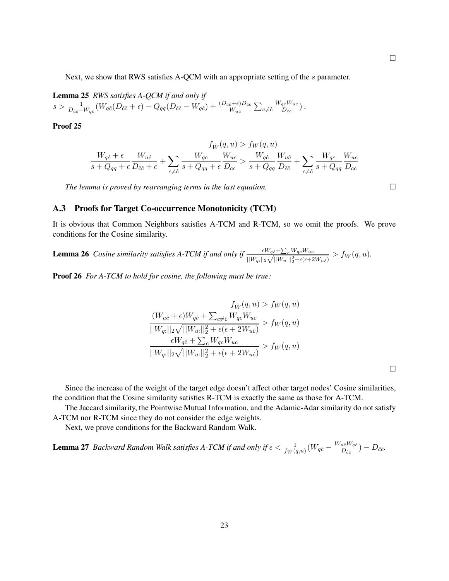Next, we show that RWS satisfies A-QCM with an appropriate setting of the s parameter.

Lemma 25 *RWS satisfies A-QCM if and only if*  $s>\frac{1}{D_{\hat{c}\hat{c}}-W_{q\hat{c}}}(W_{q\hat{c}}(D_{\hat{c}\hat{c}}+\epsilon)-Q_{qq}(D_{\hat{c}\hat{c}}-W_{q\hat{c}})+\frac{(D_{\hat{c}\hat{c}}+\epsilon)D_{\hat{c}\hat{c}}}{W_{u\hat{c}}}\sum_{c\neq\hat{c}}$  $W_{qc}W_{uc}$  $\frac{qc^{W}uc}{D_{cc}})$  .

Proof 25

$$
f_{\hat{W}}(q,u) > f_W(q,u) \frac{W_{q\hat{c}} + \epsilon}{s + Q_{qq} + \epsilon} \frac{W_{u\hat{c}}}{D_{\hat{c}\hat{c}} + \epsilon} + \sum_{c \neq \hat{c}} \frac{W_{qc}}{s + Q_{qq} + \epsilon} \frac{W_{uc}}{D_{cc}} > \frac{W_{q\hat{c}}}{s + Q_{qq}} \frac{W_{u\hat{c}}}{D_{\hat{c}\hat{c}}} + \sum_{c \neq \hat{c}} \frac{W_{qc}}{s + Q_{qq}} \frac{W_{uc}}{D_{cc}}
$$

*The lemma is proved by rearranging terms in the last equation.*

#### A.3 Proofs for Target Co-occurrence Monotonicity (TCM)

It is obvious that Common Neighbors satisfies A-TCM and R-TCM, so we omit the proofs. We prove conditions for the Cosine similarity.

**Lemma 26** Cosine similarity satisfies A-TCM if and only if  $\frac{\epsilon W_{q\hat{c}} + \sum_{c} W_{qc}W_{uc}}{\sqrt{W_{c} + \frac{1}{2}W_{c} + \frac{1}{2}W_{c} + \frac{1}{2}W_{c}}}$  $\frac{\epsilon W_{q\hat{c}} + \sum_{c} W_{qc} W_{uc}}{||W_{q:}||_2 \sqrt{||W_{u:}||_2^2 + \epsilon(\epsilon + 2W_{u\hat{c}})}} > f_W(q, u).$ 

Proof 26 *For A-TCM to hold for cosine, the following must be true:*

$$
f_{\hat{W}}(q, u) > f_W(q, u)
$$

$$
\frac{(W_{u\hat{c}} + \epsilon)W_{q\hat{c}} + \sum_{c \neq \hat{c}} W_{qc}W_{uc}}{||W_{q:}||_2 \sqrt{||W_{u:}||_2^2 + \epsilon(\epsilon + 2W_{u\hat{c}})}} > f_W(q, u)
$$

$$
\frac{\epsilon W_{q\hat{c}} + \sum_c W_{qc}W_{uc}}{||W_{q:}||_2 \sqrt{||W_{u:}||_2^2 + \epsilon(\epsilon + 2W_{u\hat{c}})}} > f_W(q, u)
$$

 $\Box$ 

Since the increase of the weight of the target edge doesn't affect other target nodes' Cosine similarities, the condition that the Cosine similarity satisfies R-TCM is exactly the same as those for A-TCM.

The Jaccard similarity, the Pointwise Mutual Information, and the Adamic-Adar similarity do not satisfy A-TCM nor R-TCM since they do not consider the edge weights.

Next, we prove conditions for the Backward Random Walk.

**Lemma 27** Backward Random Walk satisfies A-TCM if and only if  $\epsilon < \frac{1}{f_W(q,u)}(W_{q\hat{c}} - \frac{W_{u\hat{c}}W_{q\hat{c}}}{D_{\hat{c}\hat{c}}}$  $\frac{u\hat{c}^{\mathit{IV}}q\hat{c}}{D_{\hat{c}\hat{c}}}\text{)}-D_{\hat{c}\hat{c}}.$ 

 $\Box$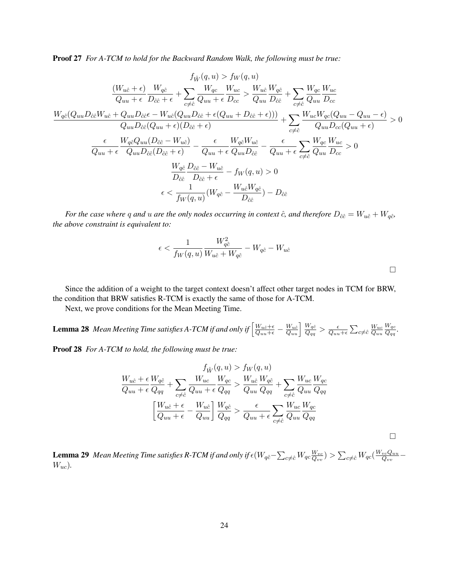Proof 27 *For A-TCM to hold for the Backward Random Walk, the following must be true:*

$$
f_{\hat{W}}(q, u) > f_{W}(q, u)
$$
\n
$$
\frac{(W_{u\hat{c}} + \epsilon)}{Q_{uu} + \epsilon} \frac{W_{q\hat{c}}}{D_{\hat{c}\hat{c}} + \epsilon} + \sum_{c \neq \hat{c}} \frac{W_{qc}}{Q_{uu} + \epsilon} \frac{W_{uc}}{D_{cc}} > \frac{W_{u\hat{c}}}{Q_{uu} \ D_{\hat{c}\hat{c}}} + \sum_{c \neq \hat{c}} \frac{W_{qc}}{Q_{uu} \ D_{\hat{c}\hat{c}}} + \sum_{c \neq \hat{c}} \frac{W_{qc}}{Q_{uu} \ D_{\hat{c}\hat{c}}} + \sum_{c \neq \hat{c}} \frac{W_{ac}}{Q_{uu} \ D_{cc}}
$$
\n
$$
\frac{W_{q\hat{c}}(Q_{uu}D_{\hat{c}\hat{c}} - W_{u\hat{c}}(Q_{uu}D_{\hat{c}\hat{c}} + \epsilon(Q_{uu} + D_{\hat{c}\hat{c}} + \epsilon)))}{Q_{uu}D_{\hat{c}\hat{c}}(Q_{uu} + \epsilon)(D_{\hat{c}\hat{c}} + \epsilon)} + \sum_{c \neq \hat{c}} \frac{W_{uc}W_{qc}(Q_{uu} - Q_{uu} - \epsilon)}{Q_{uu}D_{cc}(Q_{uu} + \epsilon)} > 0
$$
\n
$$
\frac{\epsilon}{Q_{uu} + \epsilon} \frac{W_{q\hat{c}}Q_{uu}(D_{\hat{c}\hat{c}} - W_{u\hat{c}})}{Q_{uu}D_{\hat{c}\hat{c}}(D_{\hat{c}\hat{c}} + \epsilon)} - \frac{\epsilon}{Q_{uu} + \epsilon} \frac{W_{q\hat{c}}W_{u\hat{c}}}{Q_{uu}D_{\hat{c}\hat{c}}} - \frac{\epsilon}{Q_{uu} + \epsilon} \sum_{c \neq \hat{c}} \frac{W_{qc}}{Q_{uu} \ D_{cc}} > 0
$$
\n
$$
\frac{W_{q\hat{c}}}{D_{\hat{c}\hat{c}} \ D_{\hat{c}\hat{c}} + \epsilon} - f_{W}(q, u) > 0
$$
\n
$$
\epsilon < \frac{1}{f_{W}(q, u)}(W_{q\hat{c}} - \frac{W_{u\hat{c}}W_{q\hat{c}}}{D_{\hat{c}\hat{c}}}) - D_{\hat{c}\hat{c
$$

*For the case where* q *and* u are the only nodes occurring in context  $\hat{c}$ , and therefore  $D_{\hat{c}\hat{c}} = W_{u\hat{c}} + W_{q\hat{c}}$ , *the above constraint is equivalent to:*

$$
\epsilon < \frac{1}{f_W(q,u)} \frac{W_{q\hat{c}}^2}{W_{u\hat{c}} + W_{q\hat{c}}} - W_{q\hat{c}} - W_{u\hat{c}}
$$

 $\Box$ 

Since the addition of a weight to the target context doesn't affect other target nodes in TCM for BRW, the condition that BRW satisfies R-TCM is exactly the same of those for A-TCM.

Next, we prove conditions for the Mean Meeting Time.

**Lemma 28** Mean Meeting Time satisfies A-TCM if and only if  $\left[\frac{W_{u\hat{c}}+\epsilon}{Q_{uu}+\epsilon}-\frac{W_{u\hat{c}}}{Q_{qu}}\right]\frac{W_{q\hat{c}}}{Q_{qq}}$  $\frac{W_{q\hat{c}}}{Q_{qq}} > \frac{\epsilon}{Q_{uu}}$  $\frac{\epsilon}{Q_{uu}+\epsilon}\sum_{c\neq\hat{c}}\frac{W_{uc}}{Q_{uu}}$  $Q_{uu}$  $W_{qc}$  $\frac{Wqc}{Q_{qq}}$ .

Proof 28 *For A-TCM to hold, the following must be true:*

$$
\frac{f_{\hat{W}}(q, u) > f_{W}(q, u)}{Q_{uu} + \epsilon} \frac{W_{q\hat{c}}}{Q_{qq}} + \sum_{c \neq \hat{c}} \frac{W_{uc}}{Q_{uu} + \epsilon} \frac{W_{qc}}{Q_{qq}} > \frac{W_{u\hat{c}}}{Q_{uu}} \frac{W_{q\hat{c}}}{Q_{qq}} + \sum_{c \neq \hat{c}} \frac{W_{uc}}{Q_{uu}} \frac{W_{qc}}{Q_{qq}} \left[ \frac{W_{u\hat{c}} + \epsilon}{Q_{uu} + \epsilon} - \frac{W_{u\hat{c}}}{Q_{uu}} \right] \frac{W_{q\hat{c}}}{Q_{qq}} > \frac{\epsilon}{Q_{uu} + \epsilon} \sum_{c \neq \hat{c}} \frac{W_{uc}}{Q_{uu}} \frac{W_{qc}}{Q_{qq}} \n\Box
$$

**Lemma 29** Mean Meeting Time satisfies R-TCM if and only if  $\epsilon (W_{q\hat{c}}-\sum_{c\neq\hat{c}}W_{qc}\frac{W_{vc}}{Q_{vv}})$  $\frac{W_{vc}}{Q_{vv}})> \sum_{c\neq \hat{c}} W_{qc}(\frac{W_{vc}Q_{uu}}{Q_{vv}})$  $\frac{vcQuu}{Q_{vv}}-$ Wuc)*.*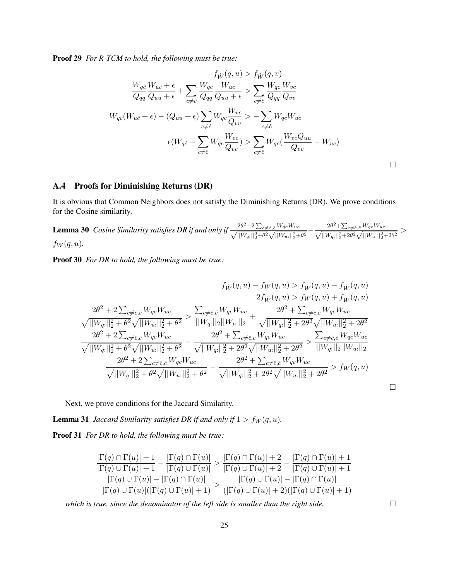Proof 29 *For R-TCM to hold, the following must be true:*

$$
f_{\hat{W}}(q, u) > f_{\hat{W}}(q, v)
$$
  
\n
$$
\frac{W_{q\hat{c}}}{Q_{qq}} \frac{W_{u\hat{c}} + \epsilon}{Q_{uu} + \epsilon} + \sum_{c \neq \hat{c}} \frac{W_{qc}}{Q_{qq}} \frac{W_{uc}}{Q_{uu} + \epsilon} > \sum_{c \neq \hat{c}} \frac{W_{qc}}{Q_{qq}} \frac{W_{vc}}{Q_{vv}}
$$
  
\n
$$
W_{q\hat{c}}(W_{u\hat{c}} + \epsilon) - (Q_{uu} + \epsilon) \sum_{c \neq \hat{c}} W_{qc} \frac{W_{vc}}{Q_{vv}} > -\sum_{c \neq \hat{c}} W_{qc} W_{uc}
$$
  
\n
$$
\epsilon(W_{q\hat{c}} - \sum_{c \neq \hat{c}} W_{qc} \frac{W_{vc}}{Q_{vv}}) > \sum_{c \neq \hat{c}} W_{qc} \frac{W_{vc}Q_{uu}}{Q_{vv}} - W_{uc})
$$

### A.4 Proofs for Diminishing Returns (DR)

It is obvious that Common Neighbors does not satisfy the Diminishing Returns (DR). We prove conditions for the Cosine similarity.

**Lemma 30** *Cosine Similarity satisfies DR if and only if*  $\frac{2\theta^2 + 2\sum_{c \neq \hat{c}, \tilde{c}} W_{qc}W_{uc}}{\sqrt{||W_{qc}||_2^2 + \theta^2}\sqrt{||W_{u}||_2^2 + \theta^2}} - \frac{2\theta^2 + \sum_{c \neq \tilde{c}, \tilde{c}} W_{qc}W_{uc}}{\sqrt{||W_{qc}||_2^2 + 2\theta^2}\sqrt{||W_{u}||_2^2 + 2\theta^2}\sqrt{||W_{u}||_$  $f_W(q, u)$ .

Proof 30 *For DR to hold, the following must be true:*

$$
f_{\hat{W}}(q, u) - f_{W}(q, u) > f_{\tilde{W}}(q, u) - f_{\hat{W}}(q, u)
$$
\n
$$
2f_{\hat{W}}(q, u) > f_{W}(q, u) + f_{\tilde{W}}(q, u)
$$
\n
$$
2f_{\hat{W}}(q, u) > f_{W}(q, u) + f_{\tilde{W}}(q, u)
$$
\n
$$
\frac{2\theta^{2} + 2\sum_{c \neq \hat{c}, \tilde{c}} W_{qc} W_{uc}}{\sqrt{||W_{q:}||_{2}^{2} + \theta^{2}} \sqrt{||W_{u:}||_{2}^{2} + \theta^{2}}} > \frac{\sum_{c \neq \hat{c}, \tilde{c}} W_{qc} W_{uc}}{||W_{q:}||_{2}||W_{u:}||_{2}} + \frac{2\theta^{2} + \sum_{c \neq \hat{c}, \tilde{c}} W_{qc} W_{uc}}{\sqrt{||W_{q:}||_{2}^{2} + 2\theta^{2}}} \sqrt{||W_{u:}||_{2}^{2} + 2\theta^{2}}}
$$
\n
$$
\frac{2\theta^{2} + 2\sum_{c \neq \hat{c}, \tilde{c}} W_{qc} W_{uc}}{\sqrt{||W_{q:}||_{2}^{2} + \theta^{2}} \sqrt{||W_{u:}||_{2}^{2} + \theta^{2}}} - \frac{2\theta^{2} + \sum_{c \neq \hat{c}, \tilde{c}} W_{qc} W_{uc}}{\sqrt{||W_{q:}||_{2}^{2} + 2\theta^{2}} \sqrt{||W_{u:}||_{2}^{2} + 2\theta^{2}}} > \frac{\sum_{c \neq \hat{c}, \tilde{c}} W_{qc} W_{uc}}{||W_{q:}||_{2}||W_{u:}||_{2}}
$$
\n
$$
\frac{2\theta^{2} + 2\sum_{c \neq \hat{c}, \tilde{c}} W_{qc} W_{uc}}{\sqrt{||W_{q:}||_{2}^{2} + \theta^{2}} \sqrt{||W_{u:}||_{2}^{2} + \theta^{2}}} - \frac{2\theta^{2} + \sum_{c \neq \hat{c}, \tilde{c}} W_{qc} W_{uc}}{\sqrt{||W_{q:}||_{2}^{2} + \theta^{2}} \sqrt{||W_{u:}||_{2}^{2} + 2\theta
$$

Next, we prove conditions for the Jaccard Similarity.

**Lemma 31** *Jaccard Similarity satisfies DR if and only if*  $1 > f_W(q, u)$ *.* 

Proof 31 *For DR to hold, the following must be true:*

$$
\frac{|\Gamma(q) \cap \Gamma(u)| + 1}{|\Gamma(q) \cup \Gamma(u)| + 1} - \frac{|\Gamma(q) \cap \Gamma(u)|}{|\Gamma(q) \cup \Gamma(u)|} > \frac{|\Gamma(q) \cap \Gamma(u)| + 2}{|\Gamma(q) \cup \Gamma(u)| + 2} - \frac{|\Gamma(q) \cap \Gamma(u)| + 1}{|\Gamma(q) \cup \Gamma(u)| + 1}
$$

$$
\frac{|\Gamma(q) \cup \Gamma(u)| - |\Gamma(q) \cap \Gamma(u)|}{|\Gamma(q) \cup \Gamma(u)|(|\Gamma(q) \cup \Gamma(u)| + 1)} > \frac{|\Gamma(q) \cap \Gamma(u)| - |\Gamma(q) \cap \Gamma(u)|}{(|\Gamma(q) \cup \Gamma(u)| + 2)(|\Gamma(q) \cup \Gamma(u)| + 1)}
$$

*which is true, since the denominator of the left side is smaller than the right side.*

 $\Box$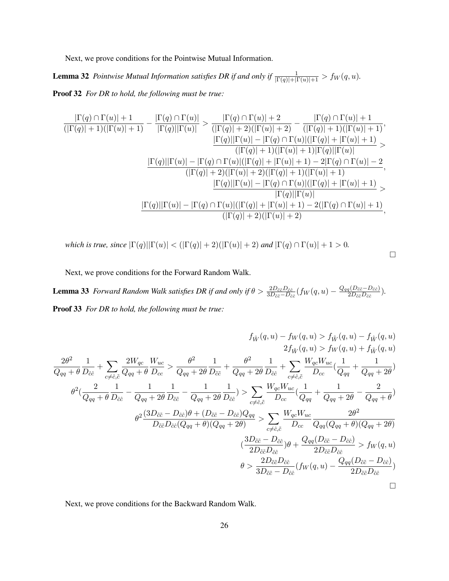Next, we prove conditions for the Pointwise Mutual Information.

**Lemma 32** *Pointwise Mutual Information satisfies DR if and only if*  $\frac{1}{|\Gamma(q)|+|\Gamma(u)|+1}$  >  $f_W(q, u)$ .

Proof 32 *For DR to hold, the following must be true:*

$$
\frac{|\Gamma(q) \cap \Gamma(u)| + 1}{(|\Gamma(q)| + 1)(|\Gamma(u)| + 1)} - \frac{|\Gamma(q) \cap \Gamma(u)|}{|\Gamma(q)||\Gamma(u)|} > \frac{|\Gamma(q) \cap \Gamma(u)| + 2}{(|\Gamma(q)| + 2)(|\Gamma(u)| + 2)} - \frac{|\Gamma(q) \cap \Gamma(u)| + 1}{(|\Gamma(q)| + 1)(|\Gamma(u)| + 1)},
$$
\n
$$
\frac{|\Gamma(q)||\Gamma(u)| - |\Gamma(q) \cap \Gamma(u)|(|\Gamma(q)| + |\Gamma(u)| + 1)}{(|\Gamma(q)| + 1)(|\Gamma(u)| + 1)|\Gamma(q)||\Gamma(u)|} >
$$
\n
$$
\frac{|\Gamma(q)||\Gamma(u)| - |\Gamma(q) \cap \Gamma(u)|(|\Gamma(q)| + |\Gamma(u)| + 1) - 2|\Gamma(q) \cap \Gamma(u)| - 2}{(|\Gamma(q)| + 2)(|\Gamma(u)| + 2)(|\Gamma(q)| + 1)(|\Gamma(u)| + 1)},
$$
\n
$$
\frac{|\Gamma(q)||\Gamma(u)| - |\Gamma(q) \cap \Gamma(u)|(|\Gamma(q)| + |\Gamma(u)| + 1)}{|\Gamma(q)||\Gamma(u)|} >
$$
\n
$$
\frac{|\Gamma(q)||\Gamma(u)| - |\Gamma(q) \cap \Gamma(u)|(|\Gamma(q)| + |\Gamma(u)| + 1) - 2(|\Gamma(q) \cap \Gamma(u)| + 1)}{(|\Gamma(q)| + 2)(|\Gamma(u)| + 2)},
$$

*which is true, since*  $|\Gamma(q)||\Gamma(u)| < (|\Gamma(q)| + 2)(|\Gamma(u)| + 2)$  *and*  $|\Gamma(q) \cap \Gamma(u)| + 1 > 0$ *.* 

 $\Box$ 

Next, we prove conditions for the Forward Random Walk.

**Lemma 33** *Forward Random Walk satisfies DR if and only if*  $\theta > \frac{2D_{\tilde{c}\tilde{c}}D_{\tilde{c}\tilde{c}}}{3D_{\tilde{c}\tilde{c}}-D_{\tilde{c}\tilde{c}}}(f_W(q,u) - \frac{Q_{qq}(D_{\tilde{c}\tilde{c}}-D_{\hat{c}\tilde{c}})}{2D_{\tilde{c}\tilde{c}}D_{\hat{c}\tilde{c}}}$  $\frac{q(D_{\tilde{c}\tilde{c}}-D_{\hat{c}\hat{c}})}{2D_{\tilde{c}\tilde{c}}D_{\hat{c}\hat{c}}}.$ Proof 33 *For DR to hold, the following must be true:*

$$
f_{\hat{W}}(q, u) - f_{W}(q, u) > f_{\tilde{W}}(q, u) - f_{\hat{W}}(q, u)
$$
\n
$$
2f_{\hat{W}}(q, u) > f_{W}(q, u) - f_{\hat{W}}(q, u)
$$
\n
$$
2f_{\hat{W}}(q, u) > f_{W}(q, u) + f_{\tilde{W}}(q, u)
$$
\n
$$
\frac{2\theta^{2}}{Q_{qq} + \theta} \frac{1}{D_{\hat{c}\hat{c}}} + \sum_{c \neq \hat{c}, \tilde{c}} \frac{2W_{qc}}{Q_{qq} + 2\theta} \frac{W_{ac}}{D_{\hat{c}\hat{c}}} + \frac{\theta^{2}}{Q_{qq} + 2\theta} \frac{1}{D_{\hat{c}\hat{c}}} + \sum_{c \neq \hat{c}, \tilde{c}} \frac{W_{qc}W_{uc}}{D_{cc}} \left(\frac{1}{Q_{qq}} + \frac{1}{Q_{qq} + 2\theta}\right)
$$
\n
$$
\theta^{2} \left(\frac{2}{Q_{qq} + \theta} \frac{1}{D_{\hat{c}\hat{c}}} - \frac{1}{Q_{qq} + 2\theta} \frac{1}{D_{\hat{c}\hat{c}}} - \frac{1}{Q_{qq} + 2\theta} \frac{1}{D_{\hat{c}\hat{c}}} - \frac{1}{Q_{qq} + 2\theta} \frac{1}{D_{\hat{c}\hat{c}}} - \frac{1}{Q_{cq} + 2\theta} \frac{1}{D_{\hat{c}\hat{c}}} - \frac{1}{Q_{cq} + 2\theta} \frac{1}{D_{\hat{c}\hat{c}}} - \frac{1}{Q_{cq} + 2\theta} \frac{1}{D_{\hat{c}\hat{c}}} - \frac{1}{Q_{cq} + 2\theta} \frac{1}{D_{\hat{c}\hat{c}}} - \frac{1}{Q_{cq} + 2\theta} \frac{1}{D_{\hat{c}\hat{c}}} - \frac{1}{Q_{cq} + 2\theta} \frac{1}{D_{\hat{c}\hat{c}}} - \frac{1}{Q_{cq} + 2\theta} \frac{1}{D_{\hat{c}\hat{c}}} - \frac{1}{Q_{cq} + 2\theta} \frac{1}{D_{\hat{c}\hat{c}}} - \frac{1}{Q_{cq} + 2\theta} \frac{1}{D_{\hat{c}\
$$

Next, we prove conditions for the Backward Random Walk.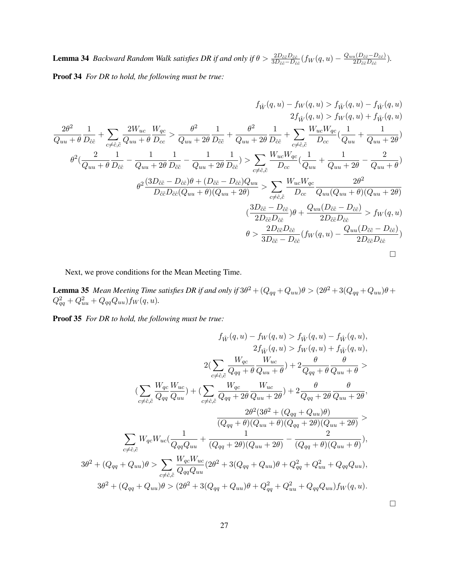**Lemma 34** *Backward Random Walk satisfies DR if and only if*  $\theta > \frac{2D_{\tilde{c}\tilde{c}}D_{\tilde{c}\tilde{c}}}{3D_{\tilde{c}\tilde{c}}-D_{\tilde{c}\tilde{c}}}(f_W(q,u) - \frac{Q_{uu}(D_{\tilde{c}\tilde{c}}-D_{\hat{c}\tilde{c}})}{2D_{\tilde{c}\tilde{c}}D_{\hat{c}\tilde{c}}}$  $\frac{u(D\tilde{c}\tilde{c}-D\hat{c}\hat{c})}{2D_{\tilde{c}\tilde{c}}D_{\hat{c}\hat{c}}}$ ). Proof 34 *For DR to hold, the following must be true:*

$$
f_{\hat{W}}(q, u) - f_{W}(q, u) > f_{\hat{W}}(q, u) - f_{\hat{W}}(q, u)
$$
\n
$$
2f_{\hat{W}}(q, u) > f_{W}(q, u) + f_{\hat{W}}(q, u)
$$
\n
$$
2f_{\hat{W}}(q, u) > f_{W}(q, u) + f_{\hat{W}}(q, u)
$$
\n
$$
2f_{\hat{W}}(q, u) > f_{W}(q, u) + f_{\hat{W}}(q, u)
$$
\n
$$
\frac{2\theta^{2}}{Q_{uu} + \theta} \frac{1}{D_{\hat{c}\hat{c}}} + \sum_{c \neq \hat{c}, \tilde{c}} \frac{2W_{uc}}{Q_{uu} + 2\theta} \frac{W_{ac}}{D_{\hat{c}\hat{c}}} + \sum_{c \neq \hat{c}, \tilde{c}} \frac{W_{uc}W_{qc}}{D_{cc}} \left(\frac{1}{Q_{uu}} + \frac{1}{Q_{uu} + 2\theta}\right)
$$
\n
$$
\theta^{2} \left(\frac{2}{Q_{uu} + \theta} \frac{1}{D_{\hat{c}\hat{c}}} - \frac{1}{Q_{uu} + 2\theta} \frac{1}{D_{\hat{c}\hat{c}}} - \frac{1}{Q_{uu} + 2\theta} \frac{1}{D_{\hat{c}\hat{c}}} \right) > \sum_{c \neq \hat{c}, \tilde{c}} \frac{W_{uc}W_{qc}}{D_{cc}} \left(\frac{1}{Q_{uu}} + \frac{1}{Q_{uu} + 2\theta} - \frac{2}{Q_{uu} + \theta}\right)
$$
\n
$$
\theta^{2} \frac{(3D_{\tilde{c}\tilde{c}} - D_{\hat{c}\hat{c}})\theta + (D_{\tilde{c}\tilde{c}} - D_{\hat{c}\hat{c}})Q_{uu}}{D_{\tilde{c}\tilde{c}}D_{\hat{c}\tilde{c}}Q_{uu} + \theta \left(Q_{uu} + 2\theta\right)} \right) \leq \sum_{c \neq \hat{c}, \tilde{c}} \frac{W_{uc}W_{qc}}{D_{cc}} \left(\frac{1}{Q_{uu} + \theta} \frac{2\theta^{2}}{Q_{uu} + \theta} \right)
$$
\n
$$
\left(\frac{3D_{\tilde{c}\tilde{c}} - D
$$

Next, we prove conditions for the Mean Meeting Time.

**Lemma 35** Mean Meeting Time satisfies DR if and only if  $3\theta^2 + (Q_{qq} + Q_{uu})\theta > (2\theta^2 + 3(Q_{qq} + Q_{uu})\theta +$  $Q_{qq}^2 + Q_{uu}^2 + Q_{qq}Q_{uu}$ )  $f_W(q, u)$ .

Proof 35 *For DR to hold, the following must be true:*

$$
f_{\hat{W}}(q, u) - f_{W}(q, u) > f_{\hat{W}}(q, u) - f_{\hat{W}}(q, u),
$$
  
\n
$$
2f_{\hat{W}}(q, u) > f_{W}(q, u) + f_{\hat{W}}(q, u),
$$
  
\n
$$
2(\sum_{c \neq \hat{c}, \tilde{c}} \frac{W_{qc}}{Q_{qq} + \theta} \frac{W_{uc}}{Q_{uu} + \theta}) + 2 \frac{\theta}{Q_{qq} + \theta} \frac{\theta}{Q_{uu} + \theta})
$$
  
\n
$$
(\sum_{c \neq \hat{c}, \tilde{c}} \frac{W_{qc}}{Q_{qq} - Q_{uu}}) + (\sum_{c \neq \hat{c}, \tilde{c}} \frac{W_{qc}}{Q_{qq} + 2\theta} \frac{W_{uc}}{Q_{uu} + 2\theta}) + 2 \frac{\theta}{Q_{qq} + 2\theta} \frac{\theta}{Q_{uu} + 2\theta},
$$
  
\n
$$
\frac{2\theta^2(3\theta^2 + (Q_{qq} + Q_{uu})\theta)}{(Q_{qq} + \theta)(Q_{uu} + \theta)(Q_{qq} + 2\theta)(Q_{uu} + 2\theta)})
$$
  
\n
$$
\sum_{c \neq \hat{c}, \tilde{c}} W_{qc} W_{uc} (\frac{1}{Q_{qq} Q_{uu}} + \frac{1}{(Q_{qq} + 2\theta)(Q_{uu} + 2\theta)} - \frac{2}{(Q_{qq} + \theta)(Q_{uu} + \theta)}),
$$
  
\n
$$
3\theta^2 + (Q_{qq} + Q_{uu})\theta > \sum_{c \neq \hat{c}, \tilde{c}} \frac{W_{qc} W_{uc}}{Q_{qq} Q_{uu}} (2\theta^2 + 3(Q_{qq} + Q_{uu})\theta + Q_{qq}^2 + Q_{uu}^2 + Q_{qu} Q_{uu}),
$$
  
\n
$$
3\theta^2 + (Q_{qq} + Q_{uu})\theta > (2\theta^2 + 3(Q_{qq} + Q_{uu})\theta + Q_{qq}^2 + Q_{uu}^2 + Q_{qq} Q_{uu})f_W(q, u).
$$

 $\Box$